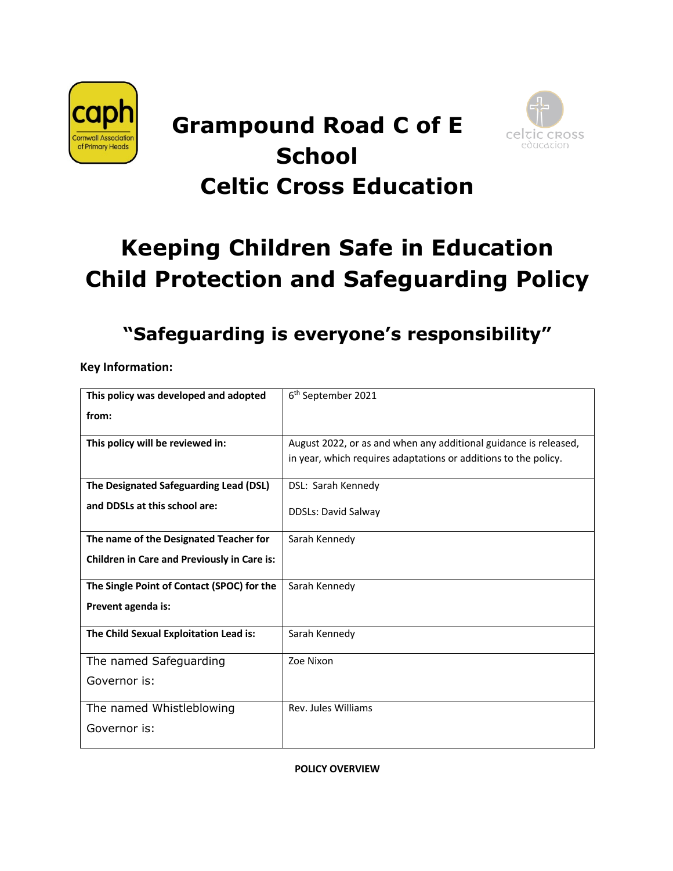

# **Grampound Road C of E School Celtic Cross Education**



# **Keeping Children Safe in Education Child Protection and Safeguarding Policy**

# **"Safeguarding is everyone's responsibility"**

**Key Information:**

| This policy was developed and adopted              | 6 <sup>th</sup> September 2021                                   |
|----------------------------------------------------|------------------------------------------------------------------|
| from:                                              |                                                                  |
| This policy will be reviewed in:                   | August 2022, or as and when any additional guidance is released, |
|                                                    | in year, which requires adaptations or additions to the policy.  |
|                                                    |                                                                  |
| The Designated Safeguarding Lead (DSL)             | DSL: Sarah Kennedy                                               |
| and DDSLs at this school are:                      | <b>DDSLs: David Salway</b>                                       |
|                                                    |                                                                  |
| The name of the Designated Teacher for             | Sarah Kennedy                                                    |
| <b>Children in Care and Previously in Care is:</b> |                                                                  |
|                                                    |                                                                  |
| The Single Point of Contact (SPOC) for the         | Sarah Kennedy                                                    |
| Prevent agenda is:                                 |                                                                  |
|                                                    |                                                                  |
| The Child Sexual Exploitation Lead is:             | Sarah Kennedy                                                    |
| The named Safeguarding                             | Zoe Nixon                                                        |
| Governor is:                                       |                                                                  |
|                                                    |                                                                  |
| The named Whistleblowing                           | Rev. Jules Williams                                              |
| Governor is:                                       |                                                                  |
|                                                    |                                                                  |

#### **POLICY OVERVIEW**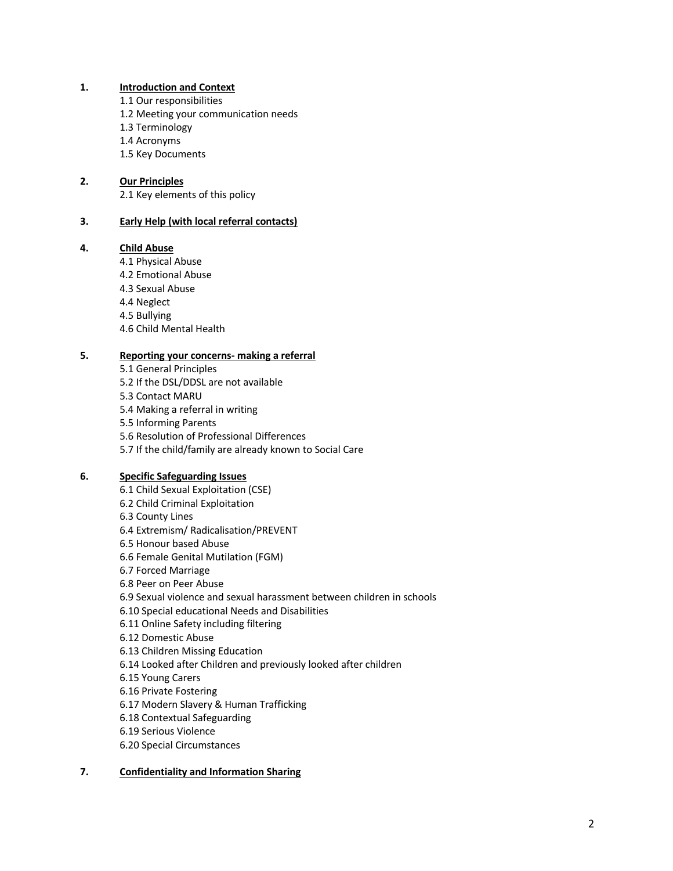#### **1. Introduction and Context**

- 1.1 Our responsibilities
- 1.2 Meeting your communication needs
- 1.3 Terminology
- 1.4 Acronyms
- 1.5 Key Documents

# **2. Our Principles**

2.1 Key elements of this policy

# **3. Early Help (with local referral contacts)**

# **4. Child Abuse**

- 4.1 Physical Abuse
- 4.2 Emotional Abuse
- 4.3 Sexual Abuse
- 4.4 Neglect
- 4.5 Bullying
- 4.6 Child Mental Health

# **5. Reporting your concerns- making a referral**

- 5.1 General Principles
- 5.2 If the DSL/DDSL are not available
- 5.3 Contact MARU
- 5.4 Making a referral in writing
- 5.5 Informing Parents
- 5.6 Resolution of Professional Differences
- 5.7 If the child/family are already known to Social Care

# **6. Specific Safeguarding Issues**

- 6.1 Child Sexual Exploitation (CSE) 6.2 Child Criminal Exploitation 6.3 County Lines 6.4 Extremism/ Radicalisation/PREVENT 6.5 Honour based Abuse 6.6 Female Genital Mutilation (FGM) 6.7 Forced Marriage 6.8 Peer on Peer Abuse 6.9 Sexual violence and sexual harassment between children in schools 6.10 Special educational Needs and Disabilities 6.11 Online Safety including filtering 6.12 Domestic Abuse 6.13 Children Missing Education 6.14 Looked after Children and previously looked after children 6.15 Young Carers 6.16 Private Fostering 6.17 Modern Slavery & Human Trafficking 6.18 Contextual Safeguarding
- 6.19 Serious Violence
- 6.20 Special Circumstances

# **7. Confidentiality and Information Sharing**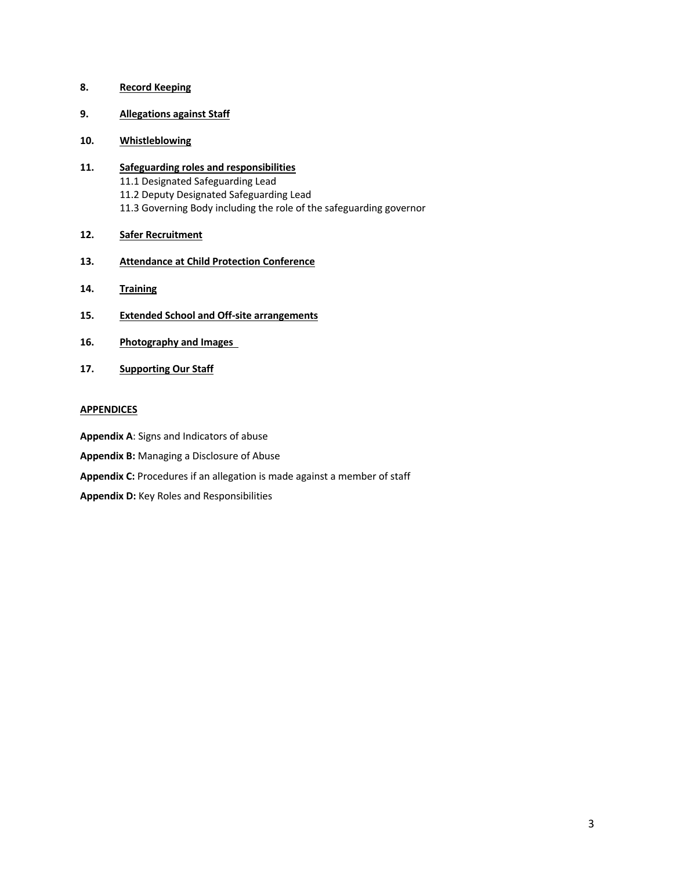# **8. Record Keeping**

- **9. Allegations against Staff**
- **10. Whistleblowing**
- **11. Safeguarding roles and responsibilities** 11.1 Designated Safeguarding Lead 11.2 Deputy Designated Safeguarding Lead 11.3 Governing Body including the role of the safeguarding governor
- **12. Safer Recruitment**
- **13. Attendance at Child Protection Conference**
- **14. Training**
- **15. Extended School and Off-site arrangements**
- **16. Photography and Images**
- **17. Supporting Our Staff**

# **APPENDICES**

**Appendix A**: Signs and Indicators of abuse

- **Appendix B:** Managing a Disclosure of Abuse
- **Appendix C:** Procedures if an allegation is made against a member of staff

**Appendix D:** Key Roles and Responsibilities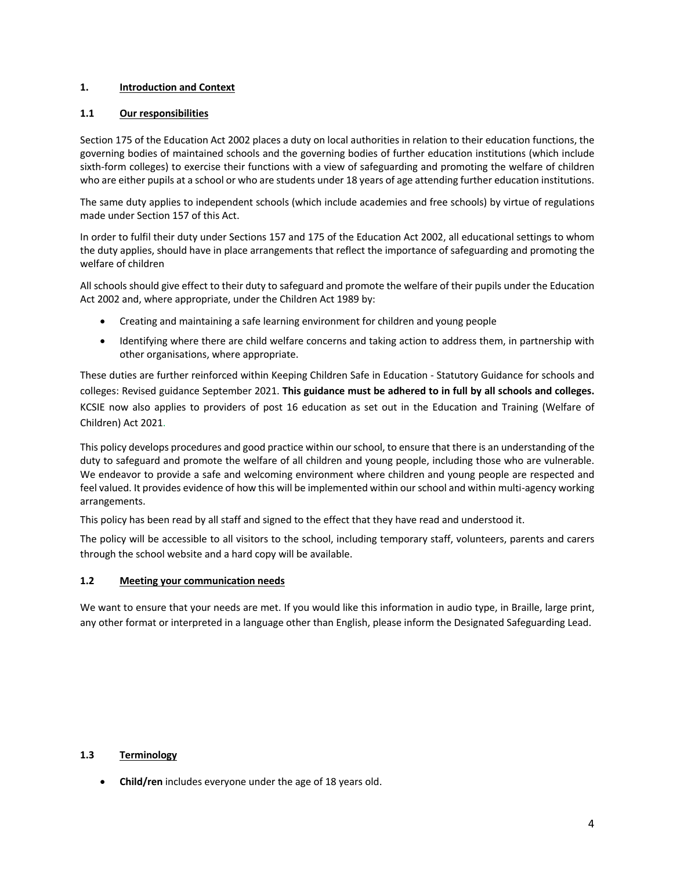# **1. Introduction and Context**

# **1.1 Our responsibilities**

Section 175 of the Education Act 2002 places a duty on local authorities in relation to their education functions, the governing bodies of maintained schools and the governing bodies of further education institutions (which include sixth-form colleges) to exercise their functions with a view of safeguarding and promoting the welfare of children who are either pupils at a school or who are students under 18 years of age attending further education institutions.

The same duty applies to independent schools (which include academies and free schools) by virtue of regulations made under Section 157 of this Act.

In order to fulfil their duty under Sections 157 and 175 of the Education Act 2002, all educational settings to whom the duty applies, should have in place arrangements that reflect the importance of safeguarding and promoting the welfare of children

All schools should give effect to their duty to safeguard and promote the welfare of their pupils under the Education Act 2002 and, where appropriate, under the Children Act 1989 by:

- Creating and maintaining a safe learning environment for children and young people
- Identifying where there are child welfare concerns and taking action to address them, in partnership with other organisations, where appropriate.

These duties are further reinforced within Keeping Children Safe in Education - Statutory Guidance for schools and colleges: Revised guidance September 2021. **This guidance must be adhered to in full by all schools and colleges.** KCSIE now also applies to providers of post 16 education as set out in the Education and Training (Welfare of Children) Act 2021.

This policy develops procedures and good practice within our school, to ensure that there is an understanding of the duty to safeguard and promote the welfare of all children and young people, including those who are vulnerable. We endeavor to provide a safe and welcoming environment where children and young people are respected and feel valued. It provides evidence of how this will be implemented within our school and within multi-agency working arrangements.

This policy has been read by all staff and signed to the effect that they have read and understood it.

The policy will be accessible to all visitors to the school, including temporary staff, volunteers, parents and carers through the school website and a hard copy will be available.

# **1.2 Meeting your communication needs**

We want to ensure that your needs are met. If you would like this information in audio type, in Braille, large print, any other format or interpreted in a language other than English, please inform the Designated Safeguarding Lead.

#### **1.3 Terminology**

• **Child/ren** includes everyone under the age of 18 years old.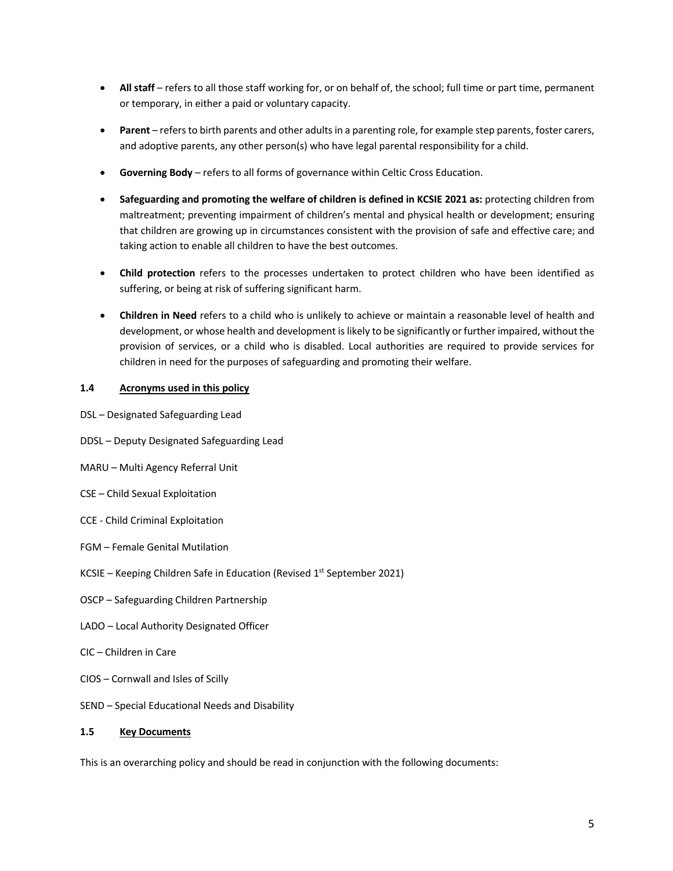- **All staff** refers to all those staff working for, or on behalf of, the school; full time or part time, permanent or temporary, in either a paid or voluntary capacity.
- **Parent**  refers to birth parents and other adults in a parenting role, for example step parents, foster carers, and adoptive parents, any other person(s) who have legal parental responsibility for a child.
- **Governing Body**  refers to all forms of governance within Celtic Cross Education.
- **Safeguarding and promoting the welfare of children is defined in KCSIE 2021 as:** protecting children from maltreatment; preventing impairment of children's mental and physical health or development; ensuring that children are growing up in circumstances consistent with the provision of safe and effective care; and taking action to enable all children to have the best outcomes.
- **Child protection** refers to the processes undertaken to protect children who have been identified as suffering, or being at risk of suffering significant harm.
- **Children in Need** refers to a child who is unlikely to achieve or maintain a reasonable level of health and development, or whose health and development is likely to be significantly or further impaired, without the provision of services, or a child who is disabled. Local authorities are required to provide services for children in need for the purposes of safeguarding and promoting their welfare.

# **1.4 Acronyms used in this policy**

- DSL Designated Safeguarding Lead
- DDSL Deputy Designated Safeguarding Lead
- MARU Multi Agency Referral Unit
- CSE Child Sexual Exploitation
- CCE Child Criminal Exploitation
- FGM Female Genital Mutilation
- KCSIE Keeping Children Safe in Education (Revised  $1<sup>st</sup>$  September 2021)
- OSCP Safeguarding Children Partnership
- LADO Local Authority Designated Officer
- CIC Children in Care
- CIOS Cornwall and Isles of Scilly
- SEND Special Educational Needs and Disability

# **1.5 Key Documents**

This is an overarching policy and should be read in conjunction with the following documents: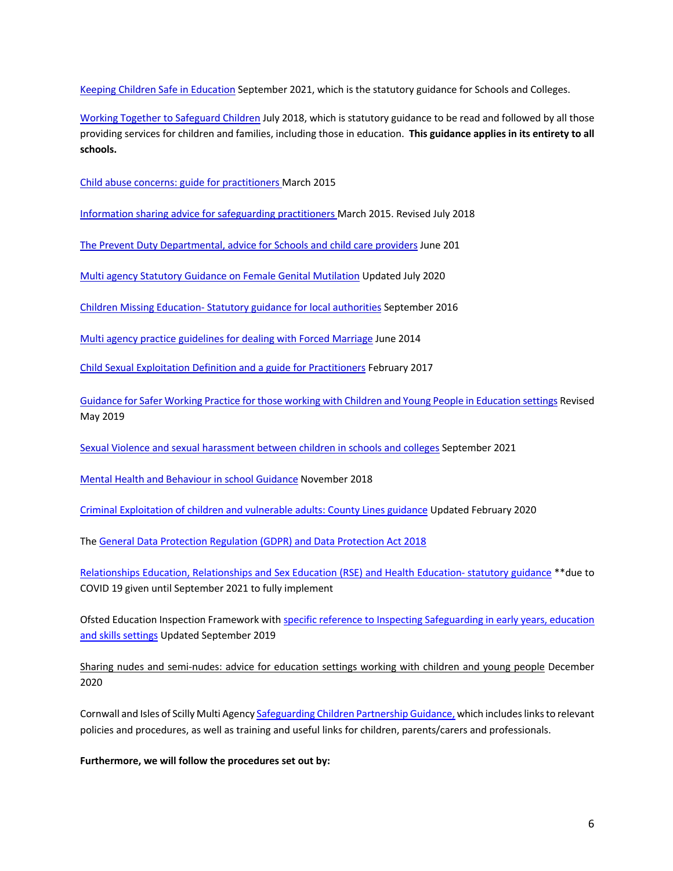Keeping Children Safe in Education September 2021, which is the statutory guidance for Schools and Colleges.

Working Together to Safeguard Children July 2018, which is statutory guidance to be read and followed by all those providing services for children and families, including those in education. **This guidance applies in its entirety to all schools.**

Child abuse concerns: guide for practitioners March 2015

Information sharing advice for safeguarding practitioners March 2015. Revised July 2018

The Prevent Duty Departmental, advice for Schools and child care providers June 201

Multi agency Statutory Guidance on Female Genital Mutilation Updated July 2020

Children Missing Education- Statutory guidance for local authorities September 2016

Multi agency practice guidelines for dealing with Forced Marriage June 2014

Child Sexual Exploitation Definition and a guide for Practitioners February 2017

Guidance for Safer Working Practice for those working with Children and Young People in Education settings Revised May 2019

Sexual Violence and sexual harassment between children in schools and colleges September 2021

Mental Health and Behaviour in school Guidance November 2018

Criminal Exploitation of children and vulnerable adults: County Lines guidance Updated February 2020

The General Data Protection Regulation (GDPR) and Data Protection Act 2018

Relationships Education, Relationships and Sex Education (RSE) and Health Education- statutory guidance \*\*due to COVID 19 given until September 2021 to fully implement

Ofsted Education Inspection Framework with specific reference to Inspecting Safeguarding in early years, education and skills settings Updated September 2019

Sharing nudes and semi-nudes: advice for education settings working with children and young people December 2020

Cornwall and Isles of Scilly Multi Agency Safeguarding Children Partnership Guidance, which includes links to relevant policies and procedures, as well as training and useful links for children, parents/carers and professionals.

**Furthermore, we will follow the procedures set out by:**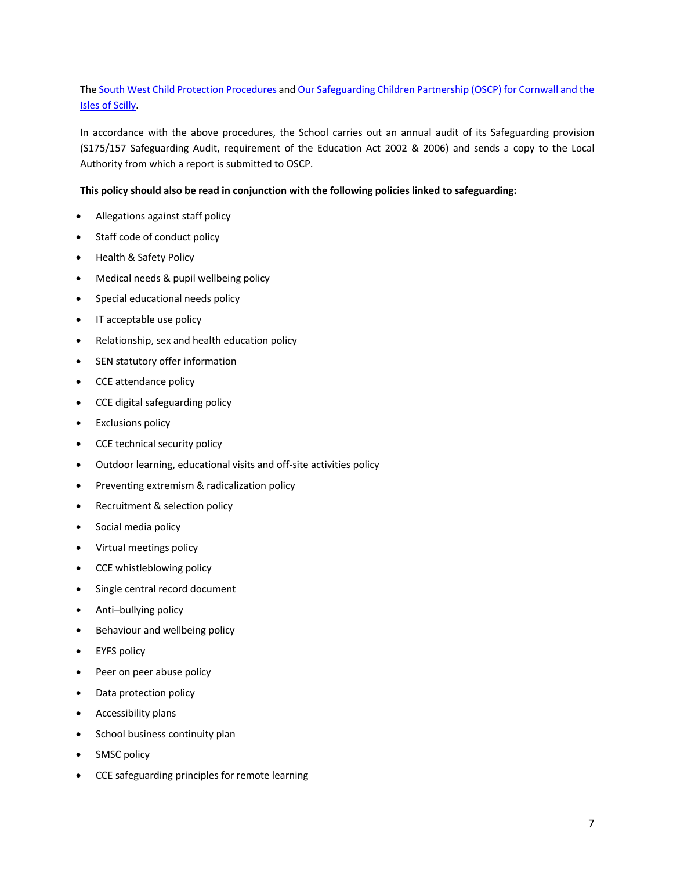# The South West Child Protection Procedures and Our Safeguarding Children Partnership (OSCP) for Cornwall and the Isles of Scilly.

In accordance with the above procedures, the School carries out an annual audit of its Safeguarding provision (S175/157 Safeguarding Audit, requirement of the Education Act 2002 & 2006) and sends a copy to the Local Authority from which a report is submitted to OSCP.

#### **This policy should also be read in conjunction with the following policies linked to safeguarding:**

- Allegations against staff policy
- Staff code of conduct policy
- Health & Safety Policy
- Medical needs & pupil wellbeing policy
- Special educational needs policy
- IT acceptable use policy
- Relationship, sex and health education policy
- SEN statutory offer information
- CCE attendance policy
- CCE digital safeguarding policy
- Exclusions policy
- CCE technical security policy
- Outdoor learning, educational visits and off-site activities policy
- Preventing extremism & radicalization policy
- Recruitment & selection policy
- Social media policy
- Virtual meetings policy
- CCE whistleblowing policy
- Single central record document
- Anti–bullying policy
- Behaviour and wellbeing policy
- EYFS policy
- Peer on peer abuse policy
- Data protection policy
- Accessibility plans
- School business continuity plan
- SMSC policy
- CCE safeguarding principles for remote learning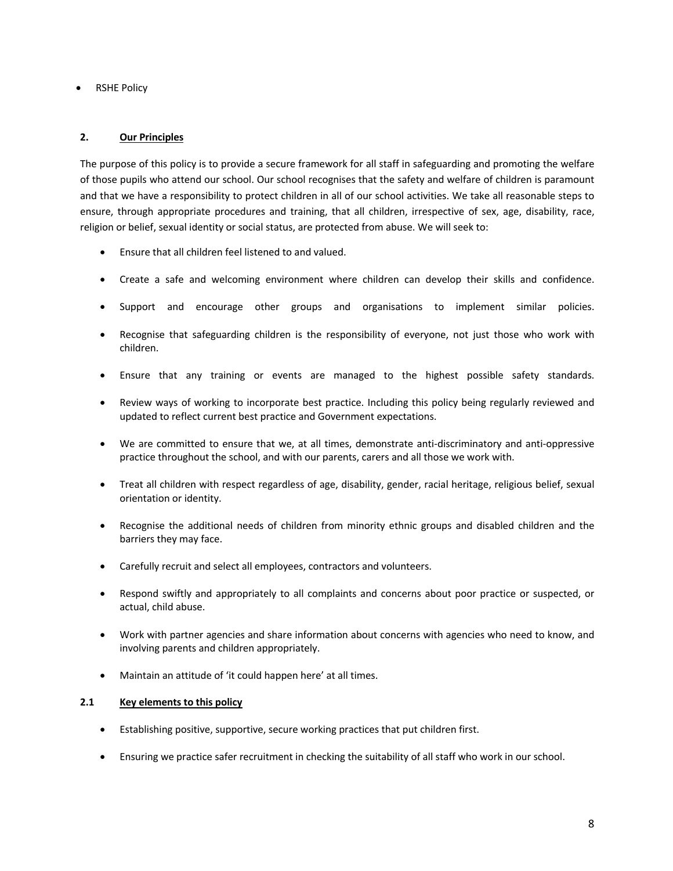• RSHE Policy

# **2. Our Principles**

The purpose of this policy is to provide a secure framework for all staff in safeguarding and promoting the welfare of those pupils who attend our school. Our school recognises that the safety and welfare of children is paramount and that we have a responsibility to protect children in all of our school activities. We take all reasonable steps to ensure, through appropriate procedures and training, that all children, irrespective of sex, age, disability, race, religion or belief, sexual identity or social status, are protected from abuse. We will seek to:

- Ensure that all children feel listened to and valued.
- Create a safe and welcoming environment where children can develop their skills and confidence.
- Support and encourage other groups and organisations to implement similar policies.
- Recognise that safeguarding children is the responsibility of everyone, not just those who work with children.
- Ensure that any training or events are managed to the highest possible safety standards.
- Review ways of working to incorporate best practice. Including this policy being regularly reviewed and updated to reflect current best practice and Government expectations.
- We are committed to ensure that we, at all times, demonstrate anti-discriminatory and anti-oppressive practice throughout the school, and with our parents, carers and all those we work with.
- Treat all children with respect regardless of age, disability, gender, racial heritage, religious belief, sexual orientation or identity.
- Recognise the additional needs of children from minority ethnic groups and disabled children and the barriers they may face.
- Carefully recruit and select all employees, contractors and volunteers.
- Respond swiftly and appropriately to all complaints and concerns about poor practice or suspected, or actual, child abuse.
- Work with partner agencies and share information about concerns with agencies who need to know, and involving parents and children appropriately.
- Maintain an attitude of 'it could happen here' at all times.

#### **2.1 Key elements to this policy**

- Establishing positive, supportive, secure working practices that put children first.
- Ensuring we practice safer recruitment in checking the suitability of all staff who work in our school.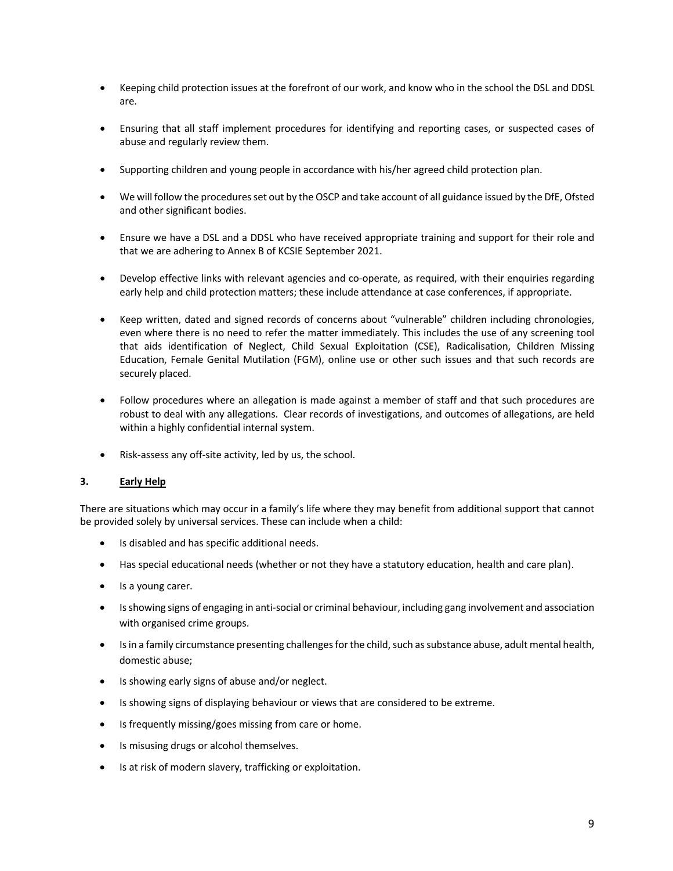- Keeping child protection issues at the forefront of our work, and know who in the school the DSL and DDSL are.
- Ensuring that all staff implement procedures for identifying and reporting cases, or suspected cases of abuse and regularly review them.
- Supporting children and young people in accordance with his/her agreed child protection plan.
- We will follow the procedures set out by the OSCP and take account of all guidance issued by the DfE, Ofsted and other significant bodies.
- Ensure we have a DSL and a DDSL who have received appropriate training and support for their role and that we are adhering to Annex B of KCSIE September 2021.
- Develop effective links with relevant agencies and co-operate, as required, with their enquiries regarding early help and child protection matters; these include attendance at case conferences, if appropriate.
- Keep written, dated and signed records of concerns about "vulnerable" children including chronologies, even where there is no need to refer the matter immediately. This includes the use of any screening tool that aids identification of Neglect, Child Sexual Exploitation (CSE), Radicalisation, Children Missing Education, Female Genital Mutilation (FGM), online use or other such issues and that such records are securely placed.
- Follow procedures where an allegation is made against a member of staff and that such procedures are robust to deal with any allegations. Clear records of investigations, and outcomes of allegations, are held within a highly confidential internal system.
- Risk-assess any off-site activity, led by us, the school.

#### **3. Early Help**

There are situations which may occur in a family's life where they may benefit from additional support that cannot be provided solely by universal services. These can include when a child:

- Is disabled and has specific additional needs.
- Has special educational needs (whether or not they have a statutory education, health and care plan).
- Is a young carer.
- Is showing signs of engaging in anti-social or criminal behaviour, including gang involvement and association with organised crime groups.
- Is in a family circumstance presenting challenges for the child, such as substance abuse, adult mental health, domestic abuse;
- Is showing early signs of abuse and/or neglect.
- Is showing signs of displaying behaviour or views that are considered to be extreme.
- Is frequently missing/goes missing from care or home.
- Is misusing drugs or alcohol themselves.
- Is at risk of modern slavery, trafficking or exploitation.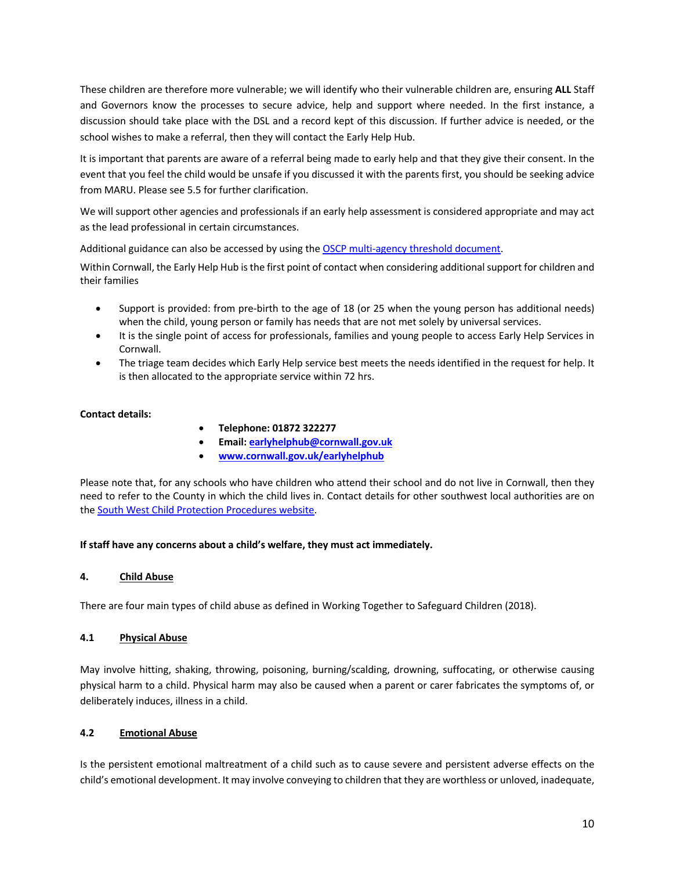These children are therefore more vulnerable; we will identify who their vulnerable children are, ensuring **ALL** Staff and Governors know the processes to secure advice, help and support where needed. In the first instance, a discussion should take place with the DSL and a record kept of this discussion. If further advice is needed, or the school wishes to make a referral, then they will contact the Early Help Hub.

It is important that parents are aware of a referral being made to early help and that they give their consent. In the event that you feel the child would be unsafe if you discussed it with the parents first, you should be seeking advice from MARU. Please see 5.5 for further clarification.

We will support other agencies and professionals if an early help assessment is considered appropriate and may act as the lead professional in certain circumstances.

Additional guidance can also be accessed by using the OSCP multi-agency threshold document.

Within Cornwall, the Early Help Hub is the first point of contact when considering additional support for children and their families

- Support is provided: from pre-birth to the age of 18 (or 25 when the young person has additional needs) when the child, young person or family has needs that are not met solely by universal services.
- It is the single point of access for professionals, families and young people to access Early Help Services in Cornwall.
- The triage team decides which Early Help service best meets the needs identified in the request for help. It is then allocated to the appropriate service within 72 hrs.

# **Contact details:**

- **Telephone: 01872 322277**
- **Email: earlyhelphub@cornwall.gov.uk**
- **www.cornwall.gov.uk/earlyhelphub**

Please note that, for any schools who have children who attend their school and do not live in Cornwall, then they need to refer to the County in which the child lives in. Contact details for other southwest local authorities are on the South West Child Protection Procedures website.

#### **If staff have any concerns about a child's welfare, they must act immediately.**

# **4. Child Abuse**

There are four main types of child abuse as defined in Working Together to Safeguard Children (2018).

# **4.1 Physical Abuse**

May involve hitting, shaking, throwing, poisoning, burning/scalding, drowning, suffocating, or otherwise causing physical harm to a child. Physical harm may also be caused when a parent or carer fabricates the symptoms of, or deliberately induces, illness in a child.

#### **4.2 Emotional Abuse**

Is the persistent emotional maltreatment of a child such as to cause severe and persistent adverse effects on the child's emotional development. It may involve conveying to children that they are worthless or unloved, inadequate,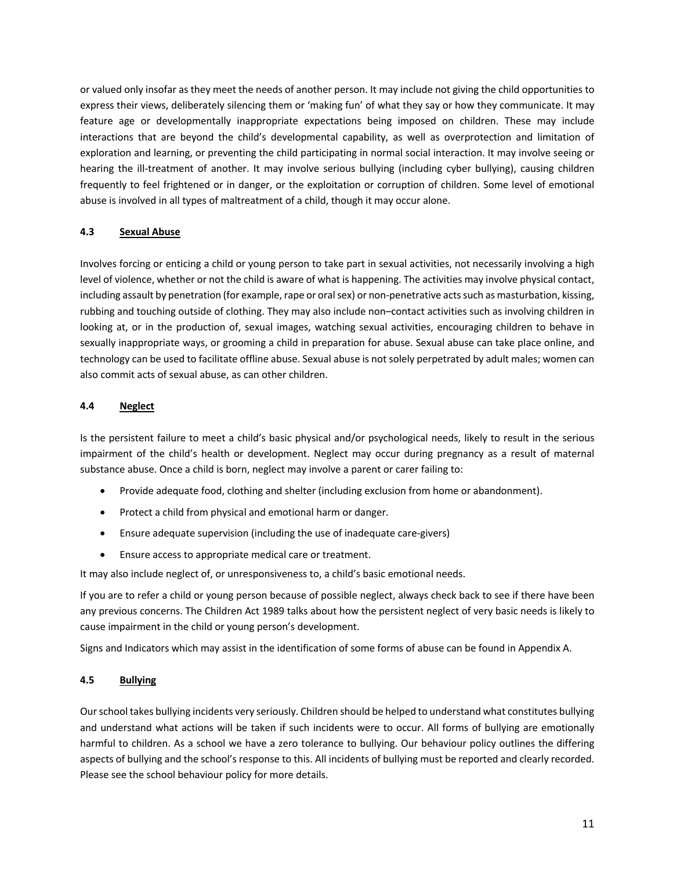or valued only insofar as they meet the needs of another person. It may include not giving the child opportunities to express their views, deliberately silencing them or 'making fun' of what they say or how they communicate. It may feature age or developmentally inappropriate expectations being imposed on children. These may include interactions that are beyond the child's developmental capability, as well as overprotection and limitation of exploration and learning, or preventing the child participating in normal social interaction. It may involve seeing or hearing the ill-treatment of another. It may involve serious bullying (including cyber bullying), causing children frequently to feel frightened or in danger, or the exploitation or corruption of children. Some level of emotional abuse is involved in all types of maltreatment of a child, though it may occur alone.

# **4.3 Sexual Abuse**

Involves forcing or enticing a child or young person to take part in sexual activities, not necessarily involving a high level of violence, whether or not the child is aware of what is happening. The activities may involve physical contact, including assault by penetration (for example, rape or oral sex) or non-penetrative acts such as masturbation, kissing, rubbing and touching outside of clothing. They may also include non–contact activities such as involving children in looking at, or in the production of, sexual images, watching sexual activities, encouraging children to behave in sexually inappropriate ways, or grooming a child in preparation for abuse. Sexual abuse can take place online, and technology can be used to facilitate offline abuse. Sexual abuse is not solely perpetrated by adult males; women can also commit acts of sexual abuse, as can other children.

# **4.4 Neglect**

Is the persistent failure to meet a child's basic physical and/or psychological needs, likely to result in the serious impairment of the child's health or development. Neglect may occur during pregnancy as a result of maternal substance abuse. Once a child is born, neglect may involve a parent or carer failing to:

- Provide adequate food, clothing and shelter (including exclusion from home or abandonment).
- Protect a child from physical and emotional harm or danger.
- Ensure adequate supervision (including the use of inadequate care-givers)
- Ensure access to appropriate medical care or treatment.

It may also include neglect of, or unresponsiveness to, a child's basic emotional needs.

If you are to refer a child or young person because of possible neglect, always check back to see if there have been any previous concerns. The Children Act 1989 talks about how the persistent neglect of very basic needs is likely to cause impairment in the child or young person's development.

Signs and Indicators which may assist in the identification of some forms of abuse can be found in Appendix A.

#### **4.5 Bullying**

Our school takes bullying incidents very seriously. Children should be helped to understand what constitutes bullying and understand what actions will be taken if such incidents were to occur. All forms of bullying are emotionally harmful to children. As a school we have a zero tolerance to bullying. Our behaviour policy outlines the differing aspects of bullying and the school's response to this. All incidents of bullying must be reported and clearly recorded. Please see the school behaviour policy for more details.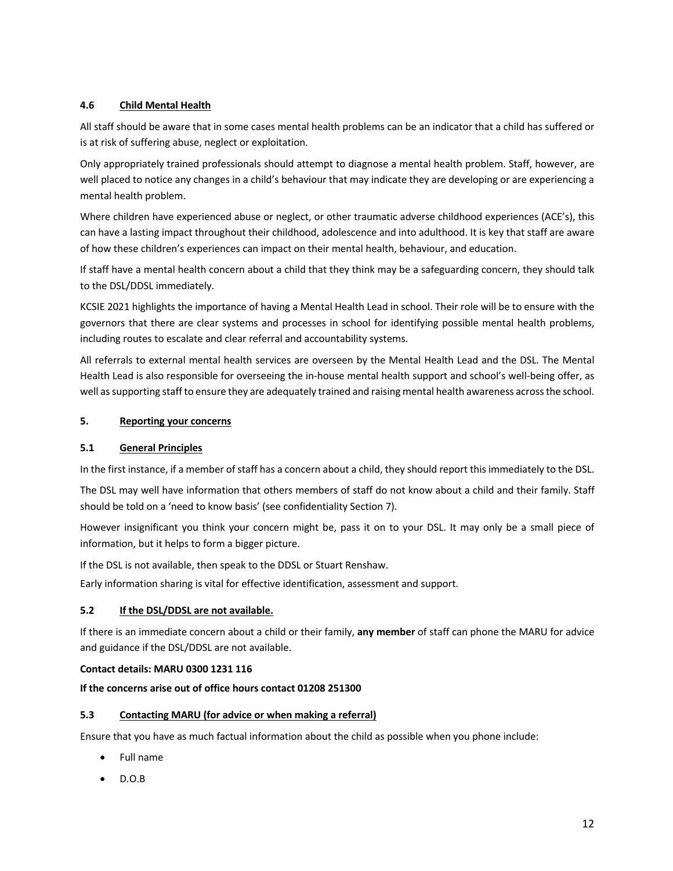# **4.6 Child Mental Health**

All staff should be aware that in some cases mental health problems can be an indicator that a child has suffered or is at risk of suffering abuse, neglect or exploitation.

Only appropriately trained professionals should attempt to diagnose a mental health problem. Staff, however, are well placed to notice any changes in a child's behaviour that may indicate they are developing or are experiencing a mental health problem.

Where children have experienced abuse or neglect, or other traumatic adverse childhood experiences (ACE's), this can have a lasting impact throughout their childhood, adolescence and into adulthood. It is key that staff are aware of how these children's experiences can impact on their mental health, behaviour, and education.

If staff have a mental health concern about a child that they think may be a safeguarding concern, they should talk to the DSL/DDSL immediately.

KCSIE 2021 highlights the importance of having a Mental Health Lead in school. Their role will be to ensure with the governors that there are clear systems and processes in school for identifying possible mental health problems, including routes to escalate and clear referral and accountability systems.

All referrals to external mental health services are overseen by the Mental Health Lead and the DSL. The Mental Health Lead is also responsible for overseeing the in-house mental health support and school's well-being offer, as well as supporting staff to ensure they are adequately trained and raising mental health awareness across the school.

# **5. Reporting your concerns**

# **5.1 General Principles**

In the first instance, if a member of staff has a concern about a child, they should report this immediately to the DSL.

The DSL may well have information that others members of staff do not know about a child and their family. Staff should be told on a 'need to know basis' (see confidentiality Section 7).

However insignificant you think your concern might be, pass it on to your DSL. It may only be a small piece of information, but it helps to form a bigger picture.

If the DSL is not available, then speak to the DDSL or Stuart Renshaw.

Early information sharing is vital for effective identification, assessment and support.

# **5.2 If the DSL/DDSL are not available.**

If there is an immediate concern about a child or their family, **any member** of staff can phone the MARU for advice and guidance if the DSL/DDSL are not available.

#### **Contact details: MARU 0300 1231 116**

# **If the concerns arise out of office hours contact 01208 251300**

# **5.3 Contacting MARU (for advice or when making a referral)**

Ensure that you have as much factual information about the child as possible when you phone include:

- Full name
- D.O.B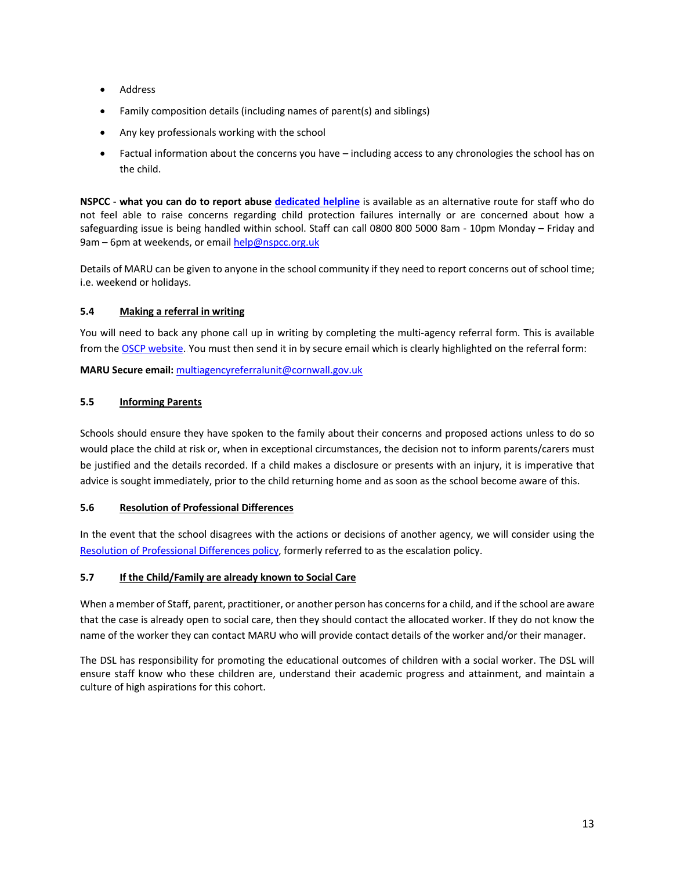- Address
- Family composition details (including names of parent(s) and siblings)
- Any key professionals working with the school
- Factual information about the concerns you have including access to any chronologies the school has on the child.

**NSPCC** - **what you can do to report abuse dedicated helpline** is available as an alternative route for staff who do not feel able to raise concerns regarding child protection failures internally or are concerned about how a safeguarding issue is being handled within school. Staff can call 0800 800 5000 8am - 10pm Monday – Friday and 9am – 6pm at weekends, or email help@nspcc.org.uk

Details of MARU can be given to anyone in the school community if they need to report concerns out of school time; i.e. weekend or holidays.

# **5.4 Making a referral in writing**

You will need to back any phone call up in writing by completing the multi-agency referral form. This is available from the OSCP website. You must then send it in by secure email which is clearly highlighted on the referral form:

**MARU Secure email:** multiagencyreferralunit@cornwall.gov.uk

# **5.5 Informing Parents**

Schools should ensure they have spoken to the family about their concerns and proposed actions unless to do so would place the child at risk or, when in exceptional circumstances, the decision not to inform parents/carers must be justified and the details recorded. If a child makes a disclosure or presents with an injury, it is imperative that advice is sought immediately, prior to the child returning home and as soon as the school become aware of this.

# **5.6 Resolution of Professional Differences**

In the event that the school disagrees with the actions or decisions of another agency, we will consider using the Resolution of Professional Differences policy, formerly referred to as the escalation policy.

# **5.7 If the Child/Family are already known to Social Care**

When a member of Staff, parent, practitioner, or another person has concerns for a child, and if the school are aware that the case is already open to social care, then they should contact the allocated worker. If they do not know the name of the worker they can contact MARU who will provide contact details of the worker and/or their manager.

The DSL has responsibility for promoting the educational outcomes of children with a social worker. The DSL will ensure staff know who these children are, understand their academic progress and attainment, and maintain a culture of high aspirations for this cohort.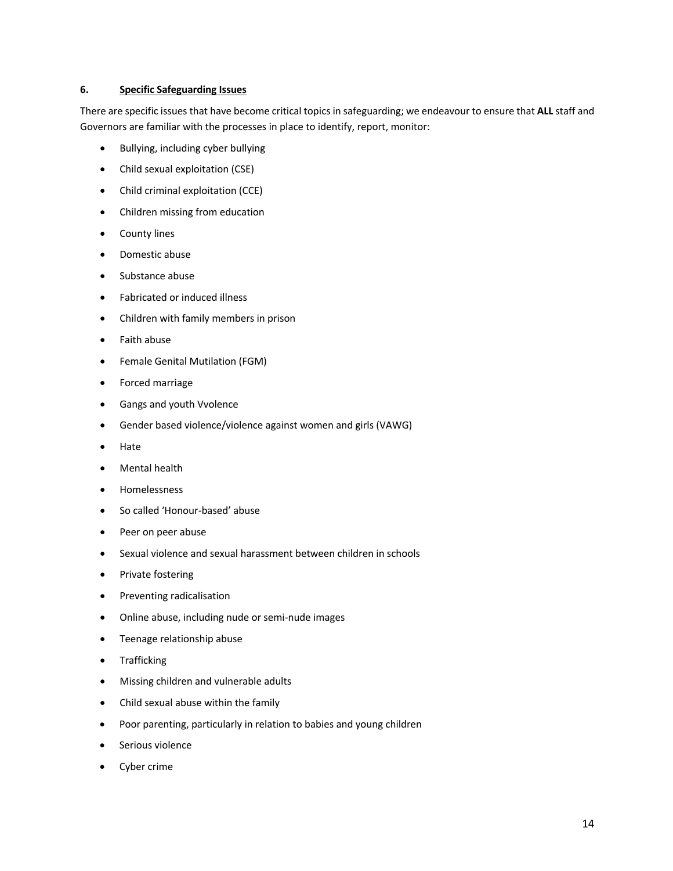#### **6. Specific Safeguarding Issues**

There are specific issues that have become critical topics in safeguarding; we endeavour to ensure that **ALL** staff and Governors are familiar with the processes in place to identify, report, monitor:

- Bullying, including cyber bullying
- Child sexual exploitation (CSE)
- Child criminal exploitation (CCE)
- Children missing from education
- County lines
- Domestic abuse
- Substance abuse
- Fabricated or induced illness
- Children with family members in prison
- Faith abuse
- Female Genital Mutilation (FGM)
- Forced marriage
- Gangs and youth Vvolence
- Gender based violence/violence against women and girls (VAWG)
- Hate
- Mental health
- Homelessness
- So called 'Honour-based' abuse
- Peer on peer abuse
- Sexual violence and sexual harassment between children in schools
- Private fostering
- Preventing radicalisation
- Online abuse, including nude or semi-nude images
- Teenage relationship abuse
- Trafficking
- Missing children and vulnerable adults
- Child sexual abuse within the family
- Poor parenting, particularly in relation to babies and young children
- Serious violence
- Cyber crime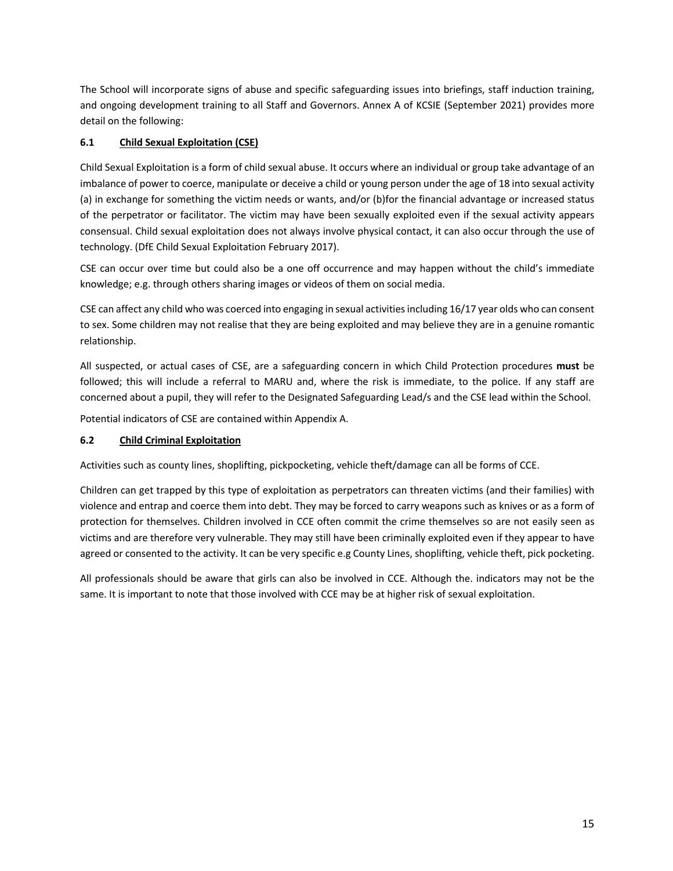The School will incorporate signs of abuse and specific safeguarding issues into briefings, staff induction training, and ongoing development training to all Staff and Governors. Annex A of KCSIE (September 2021) provides more detail on the following:

# **6.1 Child Sexual Exploitation (CSE)**

Child Sexual Exploitation is a form of child sexual abuse. It occurs where an individual or group take advantage of an imbalance of power to coerce, manipulate or deceive a child or young person under the age of 18 into sexual activity (a) in exchange for something the victim needs or wants, and/or (b)for the financial advantage or increased status of the perpetrator or facilitator. The victim may have been sexually exploited even if the sexual activity appears consensual. Child sexual exploitation does not always involve physical contact, it can also occur through the use of technology. (DfE Child Sexual Exploitation February 2017).

CSE can occur over time but could also be a one off occurrence and may happen without the child's immediate knowledge; e.g. through others sharing images or videos of them on social media.

CSE can affect any child who was coerced into engaging in sexual activities including 16/17 year olds who can consent to sex. Some children may not realise that they are being exploited and may believe they are in a genuine romantic relationship.

All suspected, or actual cases of CSE, are a safeguarding concern in which Child Protection procedures **must** be followed; this will include a referral to MARU and, where the risk is immediate, to the police. If any staff are concerned about a pupil, they will refer to the Designated Safeguarding Lead/s and the CSE lead within the School.

Potential indicators of CSE are contained within Appendix A.

# **6.2 Child Criminal Exploitation**

Activities such as county lines, shoplifting, pickpocketing, vehicle theft/damage can all be forms of CCE.

Children can get trapped by this type of exploitation as perpetrators can threaten victims (and their families) with violence and entrap and coerce them into debt. They may be forced to carry weapons such as knives or as a form of protection for themselves. Children involved in CCE often commit the crime themselves so are not easily seen as victims and are therefore very vulnerable. They may still have been criminally exploited even if they appear to have agreed or consented to the activity. It can be very specific e.g County Lines, shoplifting, vehicle theft, pick pocketing.

All professionals should be aware that girls can also be involved in CCE. Although the. indicators may not be the same. It is important to note that those involved with CCE may be at higher risk of sexual exploitation.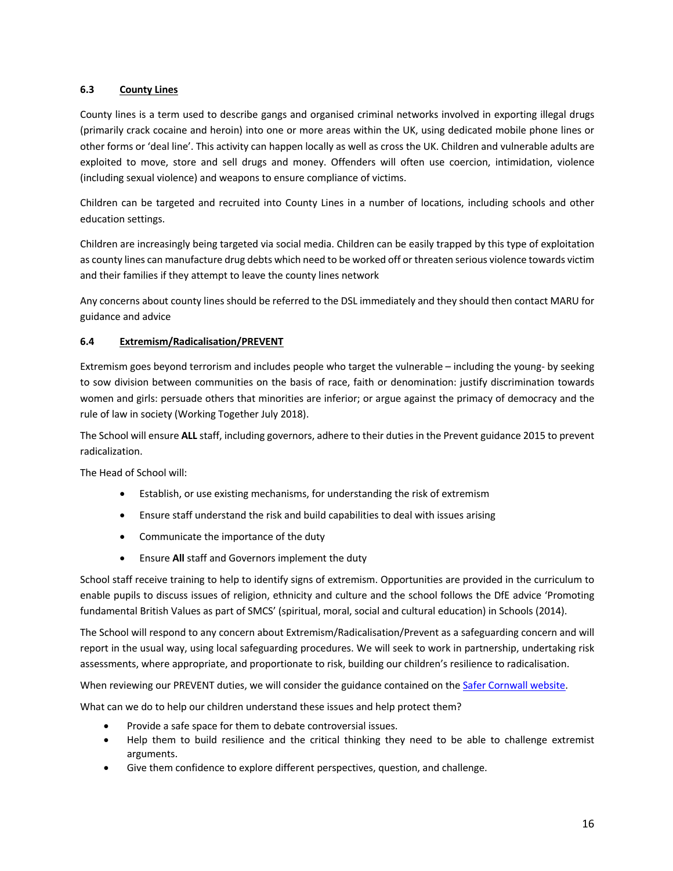# **6.3 County Lines**

County lines is a term used to describe gangs and organised criminal networks involved in exporting illegal drugs (primarily crack cocaine and heroin) into one or more areas within the UK, using dedicated mobile phone lines or other forms or 'deal line'. This activity can happen locally as well as cross the UK. Children and vulnerable adults are exploited to move, store and sell drugs and money. Offenders will often use coercion, intimidation, violence (including sexual violence) and weapons to ensure compliance of victims.

Children can be targeted and recruited into County Lines in a number of locations, including schools and other education settings.

Children are increasingly being targeted via social media. Children can be easily trapped by this type of exploitation as county lines can manufacture drug debts which need to be worked off or threaten serious violence towards victim and their families if they attempt to leave the county lines network

Any concerns about county lines should be referred to the DSL immediately and they should then contact MARU for guidance and advice

# **6.4 Extremism/Radicalisation/PREVENT**

Extremism goes beyond terrorism and includes people who target the vulnerable – including the young- by seeking to sow division between communities on the basis of race, faith or denomination: justify discrimination towards women and girls: persuade others that minorities are inferior; or argue against the primacy of democracy and the rule of law in society (Working Together July 2018).

The School will ensure **ALL** staff, including governors, adhere to their duties in the Prevent guidance 2015 to prevent radicalization.

The Head of School will:

- Establish, or use existing mechanisms, for understanding the risk of extremism
- Ensure staff understand the risk and build capabilities to deal with issues arising
- Communicate the importance of the duty
- Ensure **All** staff and Governors implement the duty

School staff receive training to help to identify signs of extremism. Opportunities are provided in the curriculum to enable pupils to discuss issues of religion, ethnicity and culture and the school follows the DfE advice 'Promoting fundamental British Values as part of SMCS' (spiritual, moral, social and cultural education) in Schools (2014).

The School will respond to any concern about Extremism/Radicalisation/Prevent as a safeguarding concern and will report in the usual way, using local safeguarding procedures. We will seek to work in partnership, undertaking risk assessments, where appropriate, and proportionate to risk, building our children's resilience to radicalisation.

When reviewing our PREVENT duties, we will consider the guidance contained on the Safer Cornwall website.

What can we do to help our children understand these issues and help protect them?

- Provide a safe space for them to debate controversial issues.
- Help them to build resilience and the critical thinking they need to be able to challenge extremist arguments.
- Give them confidence to explore different perspectives, question, and challenge.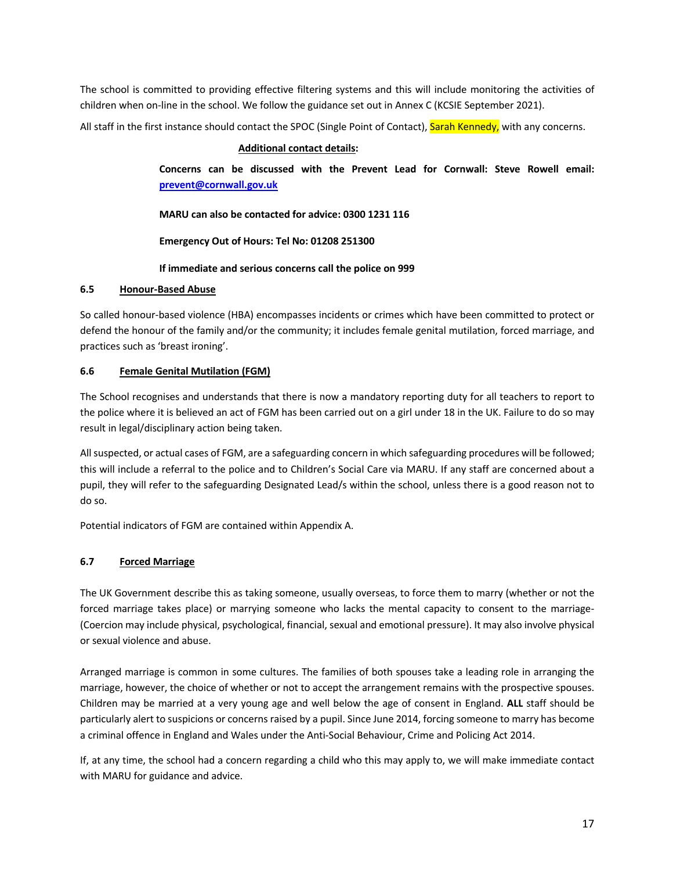The school is committed to providing effective filtering systems and this will include monitoring the activities of children when on-line in the school. We follow the guidance set out in Annex C (KCSIE September 2021).

All staff in the first instance should contact the SPOC (Single Point of Contact), Sarah Kennedy, with any concerns.

# **Additional contact details:**

**Concerns can be discussed with the Prevent Lead for Cornwall: Steve Rowell email: prevent@cornwall.gov.uk**

**MARU can also be contacted for advice: 0300 1231 116**

**Emergency Out of Hours: Tel No: 01208 251300**

**If immediate and serious concerns call the police on 999**

# **6.5 Honour-Based Abuse**

So called honour-based violence (HBA) encompasses incidents or crimes which have been committed to protect or defend the honour of the family and/or the community; it includes female genital mutilation, forced marriage, and practices such as 'breast ironing'.

# **6.6 Female Genital Mutilation (FGM)**

The School recognises and understands that there is now a mandatory reporting duty for all teachers to report to the police where it is believed an act of FGM has been carried out on a girl under 18 in the UK. Failure to do so may result in legal/disciplinary action being taken.

All suspected, or actual cases of FGM, are a safeguarding concern in which safeguarding procedures will be followed; this will include a referral to the police and to Children's Social Care via MARU. If any staff are concerned about a pupil, they will refer to the safeguarding Designated Lead/s within the school, unless there is a good reason not to do so.

Potential indicators of FGM are contained within Appendix A.

# **6.7 Forced Marriage**

The UK Government describe this as taking someone, usually overseas, to force them to marry (whether or not the forced marriage takes place) or marrying someone who lacks the mental capacity to consent to the marriage- (Coercion may include physical, psychological, financial, sexual and emotional pressure). It may also involve physical or sexual violence and abuse.

Arranged marriage is common in some cultures. The families of both spouses take a leading role in arranging the marriage, however, the choice of whether or not to accept the arrangement remains with the prospective spouses. Children may be married at a very young age and well below the age of consent in England. **ALL** staff should be particularly alert to suspicions or concerns raised by a pupil. Since June 2014, forcing someone to marry has become a criminal offence in England and Wales under the Anti-Social Behaviour, Crime and Policing Act 2014.

If, at any time, the school had a concern regarding a child who this may apply to, we will make immediate contact with MARU for guidance and advice.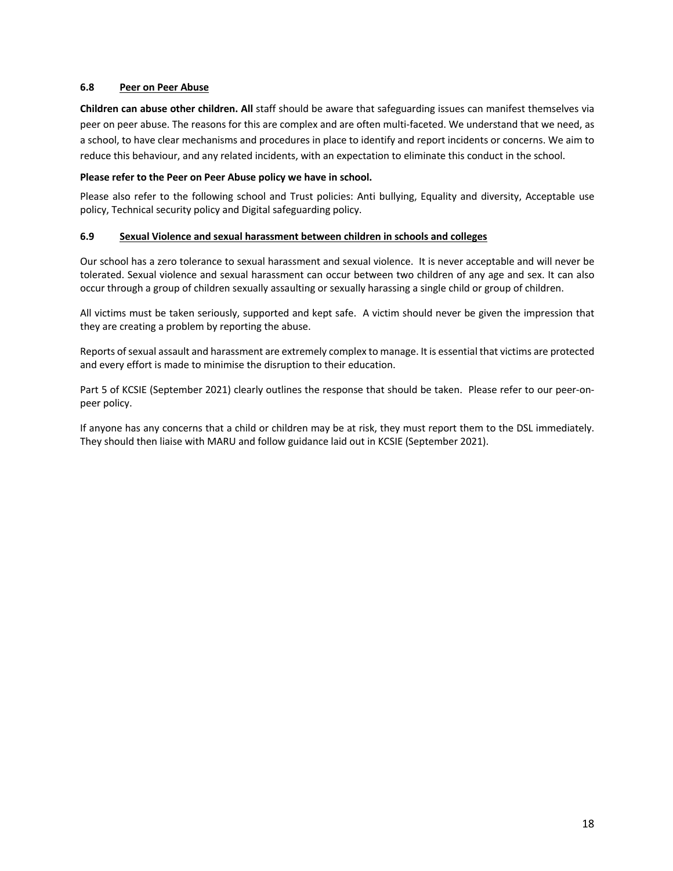#### **6.8 Peer on Peer Abuse**

**Children can abuse other children. All** staff should be aware that safeguarding issues can manifest themselves via peer on peer abuse. The reasons for this are complex and are often multi-faceted. We understand that we need, as a school, to have clear mechanisms and procedures in place to identify and report incidents or concerns. We aim to reduce this behaviour, and any related incidents, with an expectation to eliminate this conduct in the school.

#### **Please refer to the Peer on Peer Abuse policy we have in school.**

Please also refer to the following school and Trust policies: Anti bullying, Equality and diversity, Acceptable use policy, Technical security policy and Digital safeguarding policy.

#### **6.9 Sexual Violence and sexual harassment between children in schools and colleges**

Our school has a zero tolerance to sexual harassment and sexual violence. It is never acceptable and will never be tolerated. Sexual violence and sexual harassment can occur between two children of any age and sex. It can also occur through a group of children sexually assaulting or sexually harassing a single child or group of children.

All victims must be taken seriously, supported and kept safe. A victim should never be given the impression that they are creating a problem by reporting the abuse.

Reports of sexual assault and harassment are extremely complex to manage. It is essential that victims are protected and every effort is made to minimise the disruption to their education.

Part 5 of KCSIE (September 2021) clearly outlines the response that should be taken. Please refer to our peer-onpeer policy.

If anyone has any concerns that a child or children may be at risk, they must report them to the DSL immediately. They should then liaise with MARU and follow guidance laid out in KCSIE (September 2021).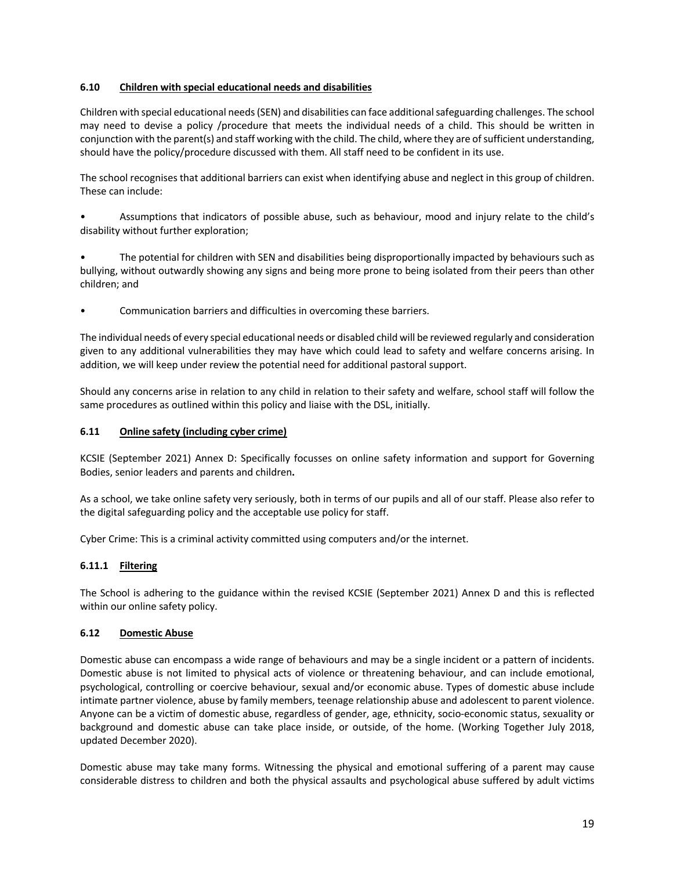# **6.10 Children with special educational needs and disabilities**

Children with special educational needs (SEN) and disabilities can face additional safeguarding challenges. The school may need to devise a policy /procedure that meets the individual needs of a child. This should be written in conjunction with the parent(s) and staff working with the child. The child, where they are of sufficient understanding, should have the policy/procedure discussed with them. All staff need to be confident in its use.

The school recognises that additional barriers can exist when identifying abuse and neglect in this group of children. These can include:

• Assumptions that indicators of possible abuse, such as behaviour, mood and injury relate to the child's disability without further exploration;

• The potential for children with SEN and disabilities being disproportionally impacted by behaviours such as bullying, without outwardly showing any signs and being more prone to being isolated from their peers than other children; and

• Communication barriers and difficulties in overcoming these barriers.

The individual needs of every special educational needs or disabled child will be reviewed regularly and consideration given to any additional vulnerabilities they may have which could lead to safety and welfare concerns arising. In addition, we will keep under review the potential need for additional pastoral support.

Should any concerns arise in relation to any child in relation to their safety and welfare, school staff will follow the same procedures as outlined within this policy and liaise with the DSL, initially.

# **6.11 Online safety (including cyber crime)**

KCSIE (September 2021) Annex D: Specifically focusses on online safety information and support for Governing Bodies, senior leaders and parents and children**.**

As a school, we take online safety very seriously, both in terms of our pupils and all of our staff. Please also refer to the digital safeguarding policy and the acceptable use policy for staff.

Cyber Crime: This is a criminal activity committed using computers and/or the internet.

# **6.11.1 Filtering**

The School is adhering to the guidance within the revised KCSIE (September 2021) Annex D and this is reflected within our online safety policy.

#### **6.12 Domestic Abuse**

Domestic abuse can encompass a wide range of behaviours and may be a single incident or a pattern of incidents. Domestic abuse is not limited to physical acts of violence or threatening behaviour, and can include emotional, psychological, controlling or coercive behaviour, sexual and/or economic abuse. Types of domestic abuse include intimate partner violence, abuse by family members, teenage relationship abuse and adolescent to parent violence. Anyone can be a victim of domestic abuse, regardless of gender, age, ethnicity, socio-economic status, sexuality or background and domestic abuse can take place inside, or outside, of the home. (Working Together July 2018, updated December 2020).

Domestic abuse may take many forms. Witnessing the physical and emotional suffering of a parent may cause considerable distress to children and both the physical assaults and psychological abuse suffered by adult victims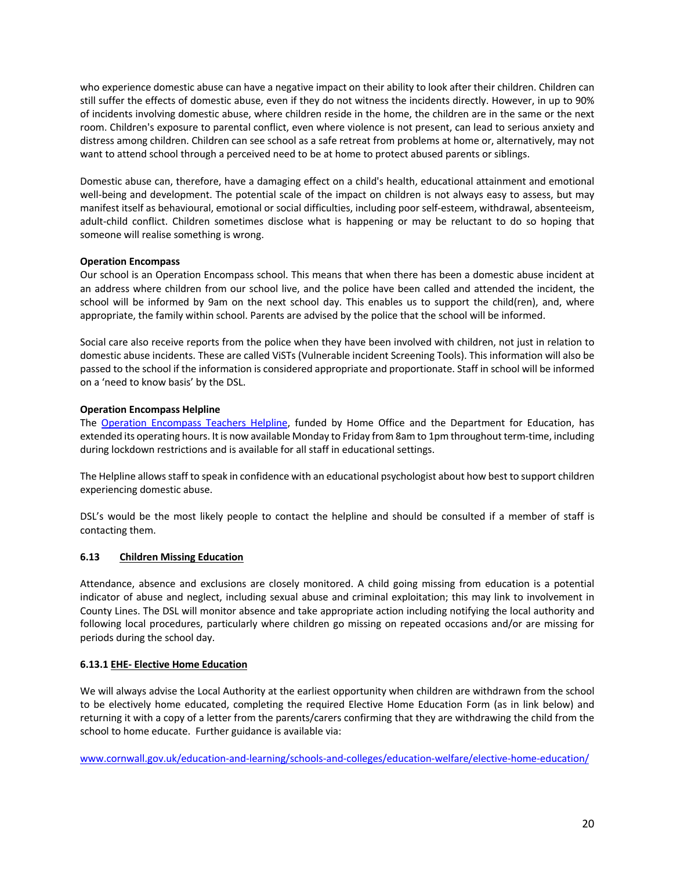who experience domestic abuse can have a negative impact on their ability to look after their children. Children can still suffer the effects of domestic abuse, even if they do not witness the incidents directly. However, in up to 90% of incidents involving domestic abuse, where children reside in the home, the children are in the same or the next room. Children's exposure to parental conflict, even where violence is not present, can lead to serious anxiety and distress among children. Children can see school as a safe retreat from problems at home or, alternatively, may not want to attend school through a perceived need to be at home to protect abused parents or siblings.

Domestic abuse can, therefore, have a damaging effect on a child's health, educational attainment and emotional well-being and development. The potential scale of the impact on children is not always easy to assess, but may manifest itself as behavioural, emotional or social difficulties, including poor self-esteem, withdrawal, absenteeism, adult-child conflict. Children sometimes disclose what is happening or may be reluctant to do so hoping that someone will realise something is wrong.

#### **Operation Encompass**

Our school is an Operation Encompass school. This means that when there has been a domestic abuse incident at an address where children from our school live, and the police have been called and attended the incident, the school will be informed by 9am on the next school day. This enables us to support the child(ren), and, where appropriate, the family within school. Parents are advised by the police that the school will be informed.

Social care also receive reports from the police when they have been involved with children, not just in relation to domestic abuse incidents. These are called ViSTs (Vulnerable incident Screening Tools). This information will also be passed to the school if the information is considered appropriate and proportionate. Staff in school will be informed on a 'need to know basis' by the DSL.

# **Operation Encompass Helpline**

The Operation Encompass Teachers Helpline, funded by Home Office and the Department for Education, has extended its operating hours. It is now available Monday to Friday from 8am to 1pm throughout term-time, including during lockdown restrictions and is available for all staff in educational settings.

The Helpline allows staff to speak in confidence with an educational psychologist about how best to support children experiencing domestic abuse.

DSL's would be the most likely people to contact the helpline and should be consulted if a member of staff is contacting them.

#### **6.13 Children Missing Education**

Attendance, absence and exclusions are closely monitored. A child going missing from education is a potential indicator of abuse and neglect, including sexual abuse and criminal exploitation; this may link to involvement in County Lines. The DSL will monitor absence and take appropriate action including notifying the local authority and following local procedures, particularly where children go missing on repeated occasions and/or are missing for periods during the school day.

#### **6.13.1 EHE- Elective Home Education**

We will always advise the Local Authority at the earliest opportunity when children are withdrawn from the school to be electively home educated, completing the required Elective Home Education Form (as in link below) and returning it with a copy of a letter from the parents/carers confirming that they are withdrawing the child from the school to home educate. Further guidance is available via:

www.cornwall.gov.uk/education-and-learning/schools-and-colleges/education-welfare/elective-home-education/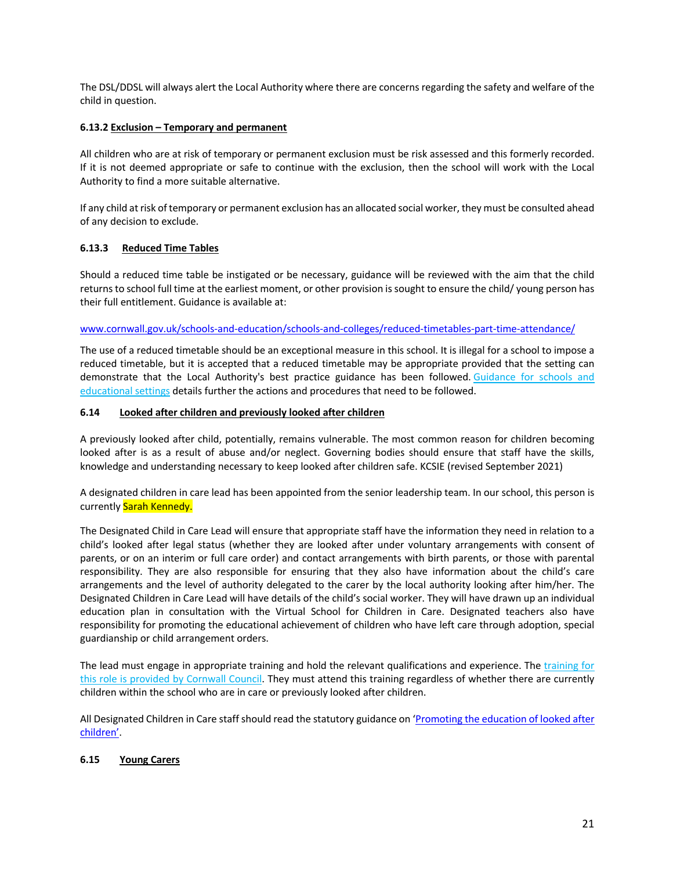The DSL/DDSL will always alert the Local Authority where there are concerns regarding the safety and welfare of the child in question.

# **6.13.2 Exclusion – Temporary and permanent**

All children who are at risk of temporary or permanent exclusion must be risk assessed and this formerly recorded. If it is not deemed appropriate or safe to continue with the exclusion, then the school will work with the Local Authority to find a more suitable alternative.

If any child at risk of temporary or permanent exclusion has an allocated social worker, they must be consulted ahead of any decision to exclude.

# **6.13.3 Reduced Time Tables**

Should a reduced time table be instigated or be necessary, guidance will be reviewed with the aim that the child returns to school full time at the earliest moment, or other provision issought to ensure the child/ young person has their full entitlement. Guidance is available at:

#### www.cornwall.gov.uk/schools-and-education/schools-and-colleges/reduced-timetables-part-time-attendance/

The use of a reduced timetable should be an exceptional measure in this school. It is illegal for a school to impose a reduced timetable, but it is accepted that a reduced timetable may be appropriate provided that the setting can demonstrate that the Local Authority's best practice guidance has been followed. Guidance for schools and educational settings details further the actions and procedures that need to be followed.

# **6.14 Looked after children and previously looked after children**

A previously looked after child, potentially, remains vulnerable. The most common reason for children becoming looked after is as a result of abuse and/or neglect. Governing bodies should ensure that staff have the skills, knowledge and understanding necessary to keep looked after children safe. KCSIE (revised September 2021)

A designated children in care lead has been appointed from the senior leadership team. In our school, this person is currently Sarah Kennedy.

The Designated Child in Care Lead will ensure that appropriate staff have the information they need in relation to a child's looked after legal status (whether they are looked after under voluntary arrangements with consent of parents, or on an interim or full care order) and contact arrangements with birth parents, or those with parental responsibility. They are also responsible for ensuring that they also have information about the child's care arrangements and the level of authority delegated to the carer by the local authority looking after him/her. The Designated Children in Care Lead will have details of the child's social worker. They will have drawn up an individual education plan in consultation with the Virtual School for Children in Care. Designated teachers also have responsibility for promoting the educational achievement of children who have left care through adoption, special guardianship or child arrangement orders.

The lead must engage in appropriate training and hold the relevant qualifications and experience. The training for this role is provided by Cornwall Council. They must attend this training regardless of whether there are currently children within the school who are in care or previously looked after children.

All Designated Children in Care staff should read the statutory guidance on 'Promoting the education of looked after children'.

# **6.15 Young Carers**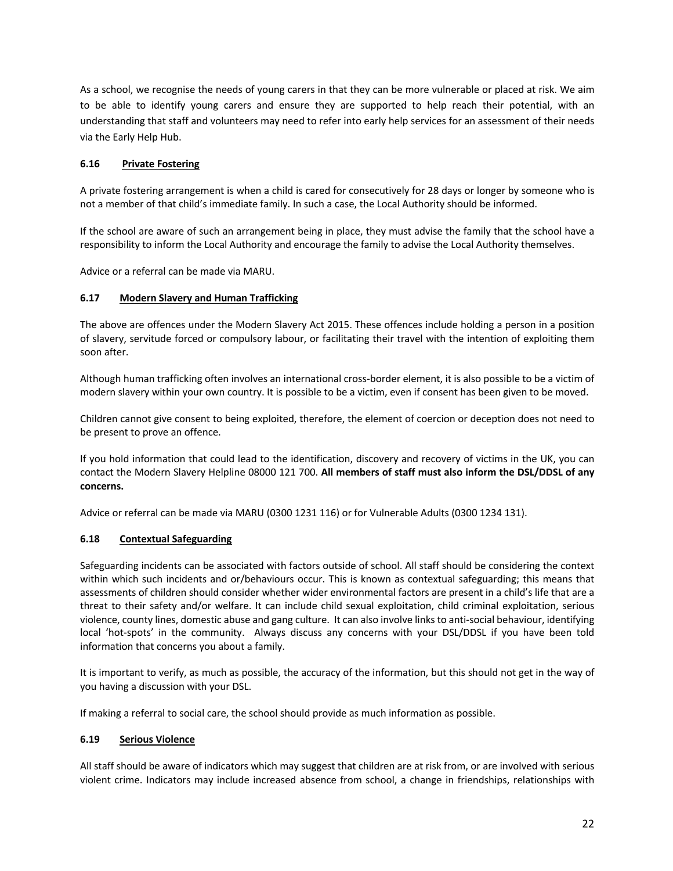As a school, we recognise the needs of young carers in that they can be more vulnerable or placed at risk. We aim to be able to identify young carers and ensure they are supported to help reach their potential, with an understanding that staff and volunteers may need to refer into early help services for an assessment of their needs via the Early Help Hub.

# **6.16 Private Fostering**

A private fostering arrangement is when a child is cared for consecutively for 28 days or longer by someone who is not a member of that child's immediate family. In such a case, the Local Authority should be informed.

If the school are aware of such an arrangement being in place, they must advise the family that the school have a responsibility to inform the Local Authority and encourage the family to advise the Local Authority themselves.

Advice or a referral can be made via MARU.

# **6.17 Modern Slavery and Human Trafficking**

The above are offences under the Modern Slavery Act 2015. These offences include holding a person in a position of slavery, servitude forced or compulsory labour, or facilitating their travel with the intention of exploiting them soon after.

Although human trafficking often involves an international cross-border element, it is also possible to be a victim of modern slavery within your own country. It is possible to be a victim, even if consent has been given to be moved.

Children cannot give consent to being exploited, therefore, the element of coercion or deception does not need to be present to prove an offence.

If you hold information that could lead to the identification, discovery and recovery of victims in the UK, you can contact the Modern Slavery Helpline 08000 121 700. **All members of staff must also inform the DSL/DDSL of any concerns.**

Advice or referral can be made via MARU (0300 1231 116) or for Vulnerable Adults (0300 1234 131).

#### **6.18 Contextual Safeguarding**

Safeguarding incidents can be associated with factors outside of school. All staff should be considering the context within which such incidents and or/behaviours occur. This is known as contextual safeguarding; this means that assessments of children should consider whether wider environmental factors are present in a child's life that are a threat to their safety and/or welfare. It can include child sexual exploitation, child criminal exploitation, serious violence, county lines, domestic abuse and gang culture. It can also involve links to anti-social behaviour, identifying local 'hot-spots' in the community. Always discuss any concerns with your DSL/DDSL if you have been told information that concerns you about a family.

It is important to verify, as much as possible, the accuracy of the information, but this should not get in the way of you having a discussion with your DSL.

If making a referral to social care, the school should provide as much information as possible.

#### **6.19 Serious Violence**

All staff should be aware of indicators which may suggest that children are at risk from, or are involved with serious violent crime. Indicators may include increased absence from school, a change in friendships, relationships with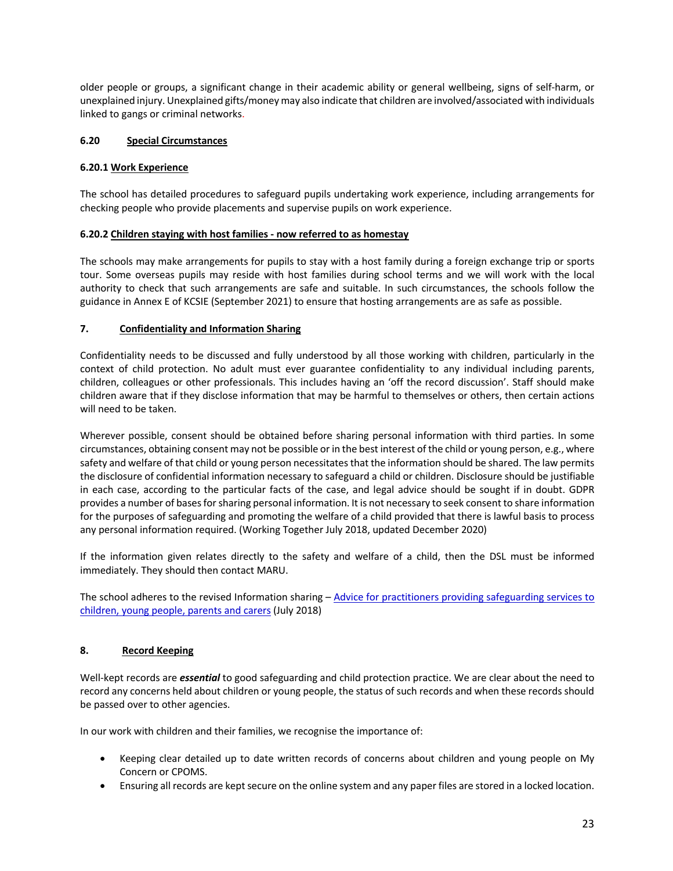older people or groups, a significant change in their academic ability or general wellbeing, signs of self-harm, or unexplained injury. Unexplained gifts/money may also indicate that children are involved/associated with individuals linked to gangs or criminal networks.

# **6.20 Special Circumstances**

#### **6.20.1 Work Experience**

The school has detailed procedures to safeguard pupils undertaking work experience, including arrangements for checking people who provide placements and supervise pupils on work experience.

# **6.20.2 Children staying with host families - now referred to as homestay**

The schools may make arrangements for pupils to stay with a host family during a foreign exchange trip or sports tour. Some overseas pupils may reside with host families during school terms and we will work with the local authority to check that such arrangements are safe and suitable. In such circumstances, the schools follow the guidance in Annex E of KCSIE (September 2021) to ensure that hosting arrangements are as safe as possible.

# **7. Confidentiality and Information Sharing**

Confidentiality needs to be discussed and fully understood by all those working with children, particularly in the context of child protection. No adult must ever guarantee confidentiality to any individual including parents, children, colleagues or other professionals. This includes having an 'off the record discussion'. Staff should make children aware that if they disclose information that may be harmful to themselves or others, then certain actions will need to be taken.

Wherever possible, consent should be obtained before sharing personal information with third parties. In some circumstances, obtaining consent may not be possible or in the best interest of the child or young person, e.g., where safety and welfare of that child or young person necessitates that the information should be shared. The law permits the disclosure of confidential information necessary to safeguard a child or children. Disclosure should be justifiable in each case, according to the particular facts of the case, and legal advice should be sought if in doubt. GDPR provides a number of bases for sharing personal information. It is not necessary to seek consent to share information for the purposes of safeguarding and promoting the welfare of a child provided that there is lawful basis to process any personal information required. (Working Together July 2018, updated December 2020)

If the information given relates directly to the safety and welfare of a child, then the DSL must be informed immediately. They should then contact MARU.

The school adheres to the revised Information sharing – Advice for practitioners providing safeguarding services to children, young people, parents and carers (July 2018)

# **8. Record Keeping**

Well-kept records are *essential* to good safeguarding and child protection practice. We are clear about the need to record any concerns held about children or young people, the status of such records and when these records should be passed over to other agencies.

In our work with children and their families, we recognise the importance of:

- Keeping clear detailed up to date written records of concerns about children and young people on My Concern or CPOMS.
- Ensuring all records are kept secure on the online system and any paper files are stored in a locked location.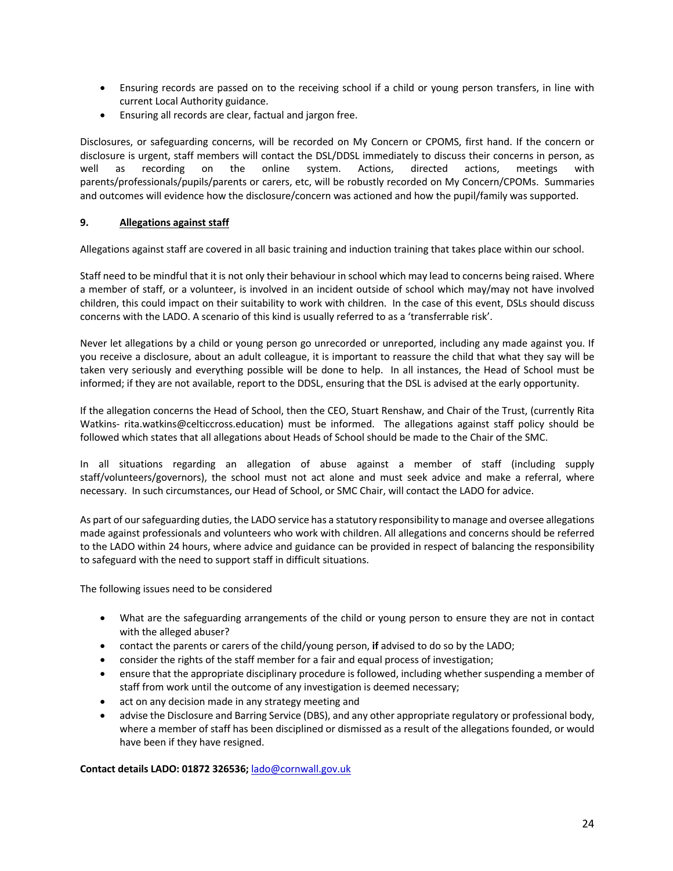- Ensuring records are passed on to the receiving school if a child or young person transfers, in line with current Local Authority guidance.
- Ensuring all records are clear, factual and jargon free.

Disclosures, or safeguarding concerns, will be recorded on My Concern or CPOMS, first hand. If the concern or disclosure is urgent, staff members will contact the DSL/DDSL immediately to discuss their concerns in person, as well as recording on the online system. Actions, directed actions, meetings with parents/professionals/pupils/parents or carers, etc, will be robustly recorded on My Concern/CPOMs. Summaries and outcomes will evidence how the disclosure/concern was actioned and how the pupil/family was supported.

#### **9. Allegations against staff**

Allegations against staff are covered in all basic training and induction training that takes place within our school.

Staff need to be mindful that it is not only their behaviour in school which may lead to concerns being raised. Where a member of staff, or a volunteer, is involved in an incident outside of school which may/may not have involved children, this could impact on their suitability to work with children. In the case of this event, DSLs should discuss concerns with the LADO. A scenario of this kind is usually referred to as a 'transferrable risk'.

Never let allegations by a child or young person go unrecorded or unreported, including any made against you. If you receive a disclosure, about an adult colleague, it is important to reassure the child that what they say will be taken very seriously and everything possible will be done to help. In all instances, the Head of School must be informed; if they are not available, report to the DDSL, ensuring that the DSL is advised at the early opportunity.

If the allegation concerns the Head of School, then the CEO, Stuart Renshaw, and Chair of the Trust, (currently Rita Watkins- rita.watkins@celticcross.education) must be informed. The allegations against staff policy should be followed which states that all allegations about Heads of School should be made to the Chair of the SMC.

In all situations regarding an allegation of abuse against a member of staff (including supply staff/volunteers/governors), the school must not act alone and must seek advice and make a referral, where necessary. In such circumstances, our Head of School, or SMC Chair, will contact the LADO for advice.

As part of our safeguarding duties, the LADO service has a statutory responsibility to manage and oversee allegations made against professionals and volunteers who work with children. All allegations and concerns should be referred to the LADO within 24 hours, where advice and guidance can be provided in respect of balancing the responsibility to safeguard with the need to support staff in difficult situations.

The following issues need to be considered

- What are the safeguarding arrangements of the child or young person to ensure they are not in contact with the alleged abuser?
- contact the parents or carers of the child/young person, **if** advised to do so by the LADO;
- consider the rights of the staff member for a fair and equal process of investigation;
- ensure that the appropriate disciplinary procedure is followed, including whether suspending a member of staff from work until the outcome of any investigation is deemed necessary;
- act on any decision made in any strategy meeting and
- advise the Disclosure and Barring Service (DBS), and any other appropriate regulatory or professional body, where a member of staff has been disciplined or dismissed as a result of the allegations founded, or would have been if they have resigned.

**Contact details LADO: 01872 326536;** lado@cornwall.gov.uk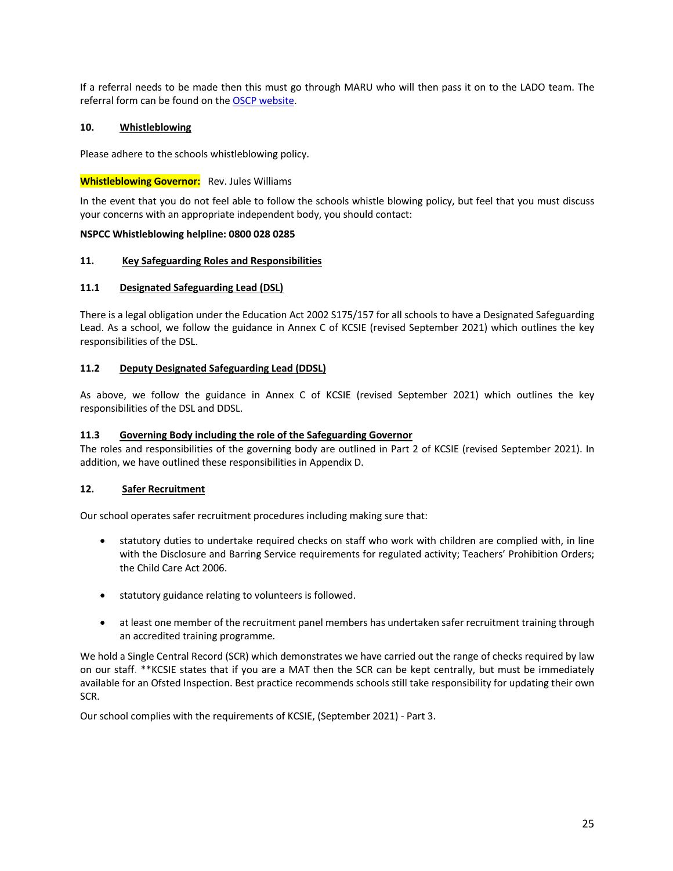If a referral needs to be made then this must go through MARU who will then pass it on to the LADO team. The referral form can be found on the OSCP website.

# **10. Whistleblowing**

Please adhere to the schools whistleblowing policy.

# **Whistleblowing Governor:** Rev. Jules Williams

In the event that you do not feel able to follow the schools whistle blowing policy, but feel that you must discuss your concerns with an appropriate independent body, you should contact:

#### **NSPCC Whistleblowing helpline: 0800 028 0285**

#### **11. Key Safeguarding Roles and Responsibilities**

# **11.1 Designated Safeguarding Lead (DSL)**

There is a legal obligation under the Education Act 2002 S175/157 for all schools to have a Designated Safeguarding Lead. As a school, we follow the guidance in Annex C of KCSIE (revised September 2021) which outlines the key responsibilities of the DSL.

# **11.2 Deputy Designated Safeguarding Lead (DDSL)**

As above, we follow the guidance in Annex C of KCSIE (revised September 2021) which outlines the key responsibilities of the DSL and DDSL.

# **11.3 Governing Body including the role of the Safeguarding Governor**

The roles and responsibilities of the governing body are outlined in Part 2 of KCSIE (revised September 2021). In addition, we have outlined these responsibilities in Appendix D.

# **12. Safer Recruitment**

Our school operates safer recruitment procedures including making sure that:

- statutory duties to undertake required checks on staff who work with children are complied with, in line with the Disclosure and Barring Service requirements for regulated activity; Teachers' Prohibition Orders; the Child Care Act 2006.
- statutory guidance relating to volunteers is followed.
- at least one member of the recruitment panel members has undertaken safer recruitment training through an accredited training programme.

We hold a Single Central Record (SCR) which demonstrates we have carried out the range of checks required by law on our staff. \*\*KCSIE states that if you are a MAT then the SCR can be kept centrally, but must be immediately available for an Ofsted Inspection. Best practice recommends schools still take responsibility for updating their own SCR.

Our school complies with the requirements of KCSIE, (September 2021) - Part 3.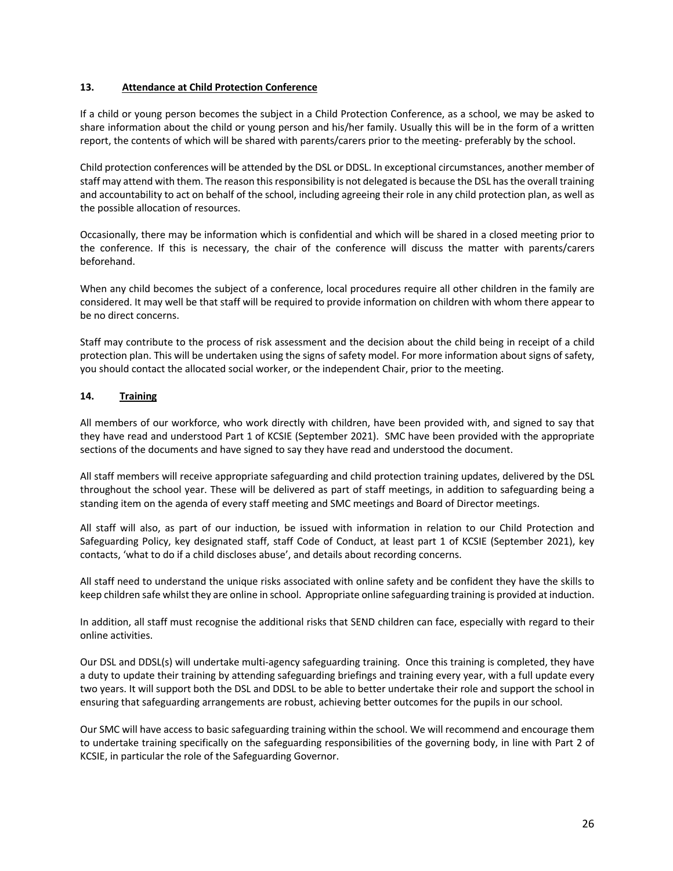#### **13. Attendance at Child Protection Conference**

If a child or young person becomes the subject in a Child Protection Conference, as a school, we may be asked to share information about the child or young person and his/her family. Usually this will be in the form of a written report, the contents of which will be shared with parents/carers prior to the meeting- preferably by the school.

Child protection conferences will be attended by the DSL or DDSL. In exceptional circumstances, another member of staff may attend with them. The reason this responsibility is not delegated is because the DSL has the overall training and accountability to act on behalf of the school, including agreeing their role in any child protection plan, as well as the possible allocation of resources.

Occasionally, there may be information which is confidential and which will be shared in a closed meeting prior to the conference. If this is necessary, the chair of the conference will discuss the matter with parents/carers beforehand.

When any child becomes the subject of a conference, local procedures require all other children in the family are considered. It may well be that staff will be required to provide information on children with whom there appear to be no direct concerns.

Staff may contribute to the process of risk assessment and the decision about the child being in receipt of a child protection plan. This will be undertaken using the signs of safety model. For more information about signs of safety, you should contact the allocated social worker, or the independent Chair, prior to the meeting.

# **14. Training**

All members of our workforce, who work directly with children, have been provided with, and signed to say that they have read and understood Part 1 of KCSIE (September 2021). SMC have been provided with the appropriate sections of the documents and have signed to say they have read and understood the document.

All staff members will receive appropriate safeguarding and child protection training updates, delivered by the DSL throughout the school year. These will be delivered as part of staff meetings, in addition to safeguarding being a standing item on the agenda of every staff meeting and SMC meetings and Board of Director meetings.

All staff will also, as part of our induction, be issued with information in relation to our Child Protection and Safeguarding Policy, key designated staff, staff Code of Conduct, at least part 1 of KCSIE (September 2021), key contacts, 'what to do if a child discloses abuse', and details about recording concerns.

All staff need to understand the unique risks associated with online safety and be confident they have the skills to keep children safe whilst they are online in school. Appropriate online safeguarding training is provided at induction.

In addition, all staff must recognise the additional risks that SEND children can face, especially with regard to their online activities.

Our DSL and DDSL(s) will undertake multi-agency safeguarding training. Once this training is completed, they have a duty to update their training by attending safeguarding briefings and training every year, with a full update every two years. It will support both the DSL and DDSL to be able to better undertake their role and support the school in ensuring that safeguarding arrangements are robust, achieving better outcomes for the pupils in our school.

Our SMC will have access to basic safeguarding training within the school. We will recommend and encourage them to undertake training specifically on the safeguarding responsibilities of the governing body, in line with Part 2 of KCSIE, in particular the role of the Safeguarding Governor.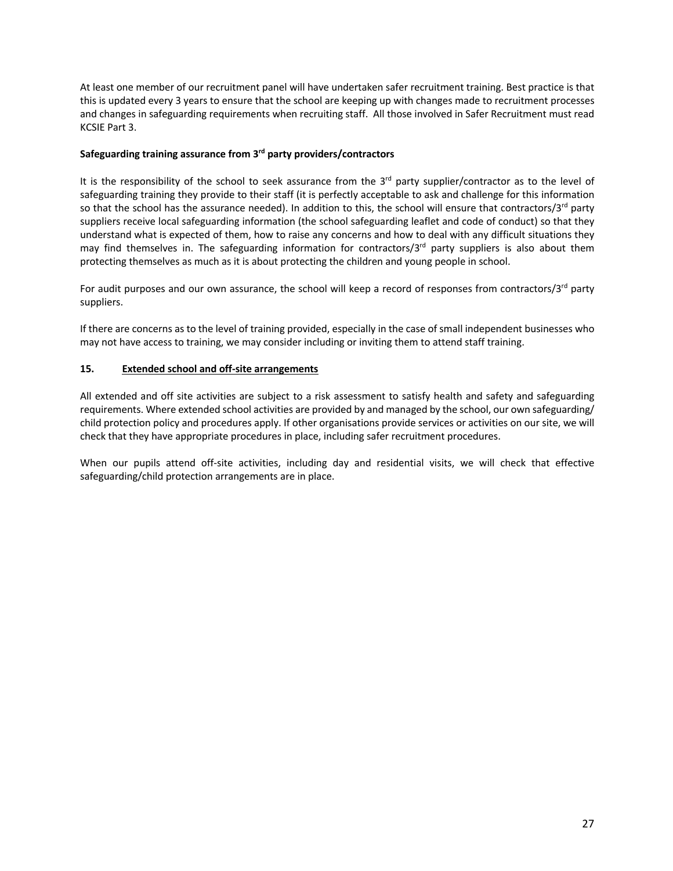At least one member of our recruitment panel will have undertaken safer recruitment training. Best practice is that this is updated every 3 years to ensure that the school are keeping up with changes made to recruitment processes and changes in safeguarding requirements when recruiting staff. All those involved in Safer Recruitment must read KCSIE Part 3.

#### **Safeguarding training assurance from 3rd party providers/contractors**

It is the responsibility of the school to seek assurance from the  $3<sup>rd</sup>$  party supplier/contractor as to the level of safeguarding training they provide to their staff (it is perfectly acceptable to ask and challenge for this information so that the school has the assurance needed). In addition to this, the school will ensure that contractors/ $3^{rd}$  party suppliers receive local safeguarding information (the school safeguarding leaflet and code of conduct) so that they understand what is expected of them, how to raise any concerns and how to deal with any difficult situations they may find themselves in. The safeguarding information for contractors/ $3<sup>rd</sup>$  party suppliers is also about them protecting themselves as much as it is about protecting the children and young people in school.

For audit purposes and our own assurance, the school will keep a record of responses from contractors/ $3^{rd}$  party suppliers.

If there are concerns as to the level of training provided, especially in the case of small independent businesses who may not have access to training, we may consider including or inviting them to attend staff training.

# **15. Extended school and off-site arrangements**

All extended and off site activities are subject to a risk assessment to satisfy health and safety and safeguarding requirements. Where extended school activities are provided by and managed by the school, our own safeguarding/ child protection policy and procedures apply. If other organisations provide services or activities on our site, we will check that they have appropriate procedures in place, including safer recruitment procedures.

When our pupils attend off-site activities, including day and residential visits, we will check that effective safeguarding/child protection arrangements are in place.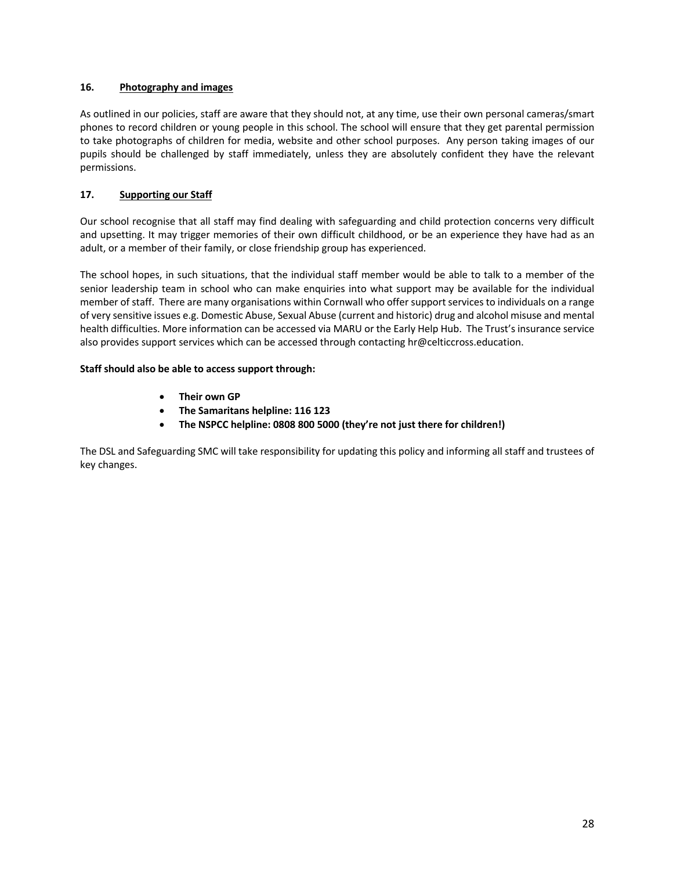# **16. Photography and images**

As outlined in our policies, staff are aware that they should not, at any time, use their own personal cameras/smart phones to record children or young people in this school. The school will ensure that they get parental permission to take photographs of children for media, website and other school purposes. Any person taking images of our pupils should be challenged by staff immediately, unless they are absolutely confident they have the relevant permissions.

# **17. Supporting our Staff**

Our school recognise that all staff may find dealing with safeguarding and child protection concerns very difficult and upsetting. It may trigger memories of their own difficult childhood, or be an experience they have had as an adult, or a member of their family, or close friendship group has experienced.

The school hopes, in such situations, that the individual staff member would be able to talk to a member of the senior leadership team in school who can make enquiries into what support may be available for the individual member of staff. There are many organisations within Cornwall who offer support services to individuals on a range of very sensitive issues e.g. Domestic Abuse, Sexual Abuse (current and historic) drug and alcohol misuse and mental health difficulties. More information can be accessed via MARU or the Early Help Hub. The Trust's insurance service also provides support services which can be accessed through contacting hr@celticcross.education.

# **Staff should also be able to access support through:**

- **Their own GP**
- **The Samaritans helpline: 116 123**
- **The NSPCC helpline: 0808 800 5000 (they're not just there for children!)**

The DSL and Safeguarding SMC will take responsibility for updating this policy and informing all staff and trustees of key changes.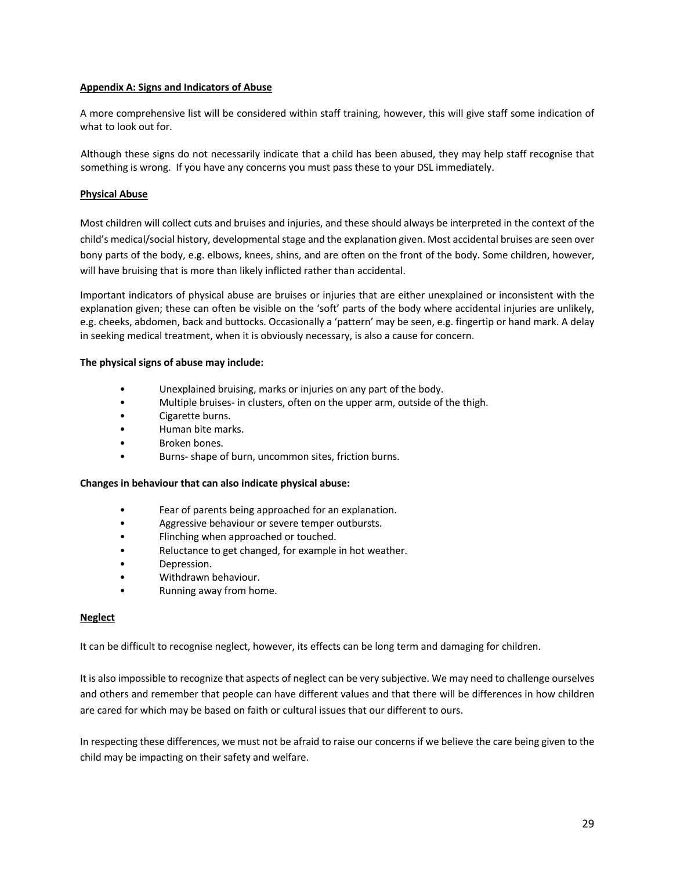#### **Appendix A: Signs and Indicators of Abuse**

A more comprehensive list will be considered within staff training, however, this will give staff some indication of what to look out for.

Although these signs do not necessarily indicate that a child has been abused, they may help staff recognise that something is wrong. If you have any concerns you must pass these to your DSL immediately.

#### **Physical Abuse**

Most children will collect cuts and bruises and injuries, and these should always be interpreted in the context of the child's medical/social history, developmental stage and the explanation given. Most accidental bruises are seen over bony parts of the body, e.g. elbows, knees, shins, and are often on the front of the body. Some children, however, will have bruising that is more than likely inflicted rather than accidental.

Important indicators of physical abuse are bruises or injuries that are either unexplained or inconsistent with the explanation given; these can often be visible on the 'soft' parts of the body where accidental injuries are unlikely, e.g. cheeks, abdomen, back and buttocks. Occasionally a 'pattern' may be seen, e.g. fingertip or hand mark. A delay in seeking medical treatment, when it is obviously necessary, is also a cause for concern.

#### **The physical signs of abuse may include:**

- Unexplained bruising, marks or injuries on any part of the body.
- Multiple bruises- in clusters, often on the upper arm, outside of the thigh.
- Cigarette burns.
- Human bite marks.
- Broken bones.
- Burns- shape of burn, uncommon sites, friction burns.

#### **Changes in behaviour that can also indicate physical abuse:**

- Fear of parents being approached for an explanation.
- Aggressive behaviour or severe temper outbursts.
- Flinching when approached or touched.
- Reluctance to get changed, for example in hot weather.
- Depression.
- Withdrawn behaviour.
- Running away from home.

#### **Neglect**

It can be difficult to recognise neglect, however, its effects can be long term and damaging for children.

It is also impossible to recognize that aspects of neglect can be very subjective. We may need to challenge ourselves and others and remember that people can have different values and that there will be differences in how children are cared for which may be based on faith or cultural issues that our different to ours.

In respecting these differences, we must not be afraid to raise our concerns if we believe the care being given to the child may be impacting on their safety and welfare.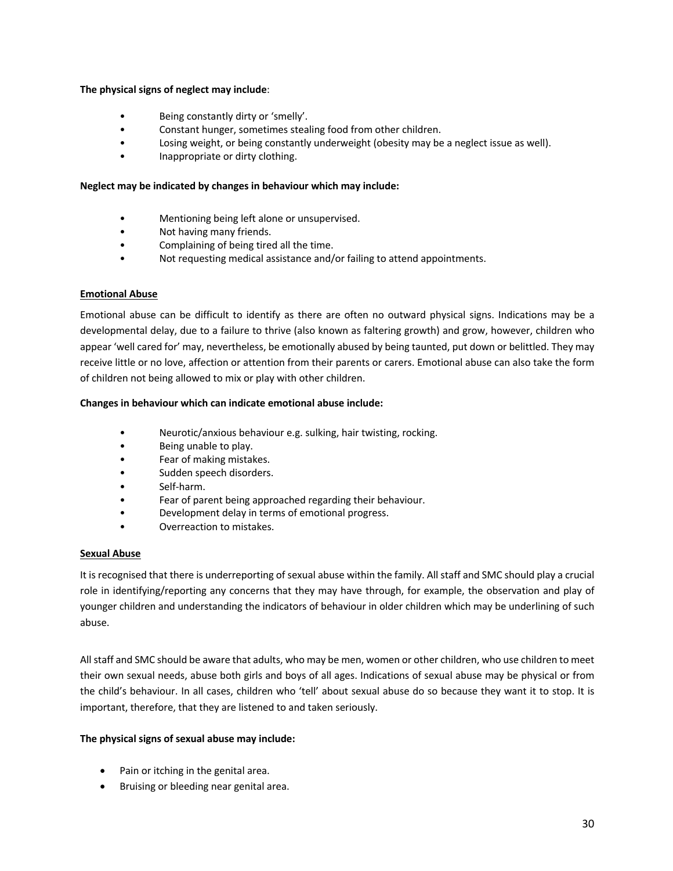#### **The physical signs of neglect may include**:

- Being constantly dirty or 'smelly'.
- Constant hunger, sometimes stealing food from other children.
- Losing weight, or being constantly underweight (obesity may be a neglect issue as well).
- Inappropriate or dirty clothing.

#### **Neglect may be indicated by changes in behaviour which may include:**

- Mentioning being left alone or unsupervised.
- Not having many friends.
- Complaining of being tired all the time.
- Not requesting medical assistance and/or failing to attend appointments.

#### **Emotional Abuse**

Emotional abuse can be difficult to identify as there are often no outward physical signs. Indications may be a developmental delay, due to a failure to thrive (also known as faltering growth) and grow, however, children who appear 'well cared for' may, nevertheless, be emotionally abused by being taunted, put down or belittled. They may receive little or no love, affection or attention from their parents or carers. Emotional abuse can also take the form of children not being allowed to mix or play with other children.

#### **Changes in behaviour which can indicate emotional abuse include:**

- Neurotic/anxious behaviour e.g. sulking, hair twisting, rocking.
- Being unable to play.
- Fear of making mistakes.
- Sudden speech disorders.
- Self-harm.
- Fear of parent being approached regarding their behaviour.
- Development delay in terms of emotional progress.
- Overreaction to mistakes.

#### **Sexual Abuse**

It is recognised that there is underreporting of sexual abuse within the family. All staff and SMC should play a crucial role in identifying/reporting any concerns that they may have through, for example, the observation and play of younger children and understanding the indicators of behaviour in older children which may be underlining of such abuse.

All staff and SMC should be aware that adults, who may be men, women or other children, who use children to meet their own sexual needs, abuse both girls and boys of all ages. Indications of sexual abuse may be physical or from the child's behaviour. In all cases, children who 'tell' about sexual abuse do so because they want it to stop. It is important, therefore, that they are listened to and taken seriously.

#### **The physical signs of sexual abuse may include:**

- Pain or itching in the genital area.
- Bruising or bleeding near genital area.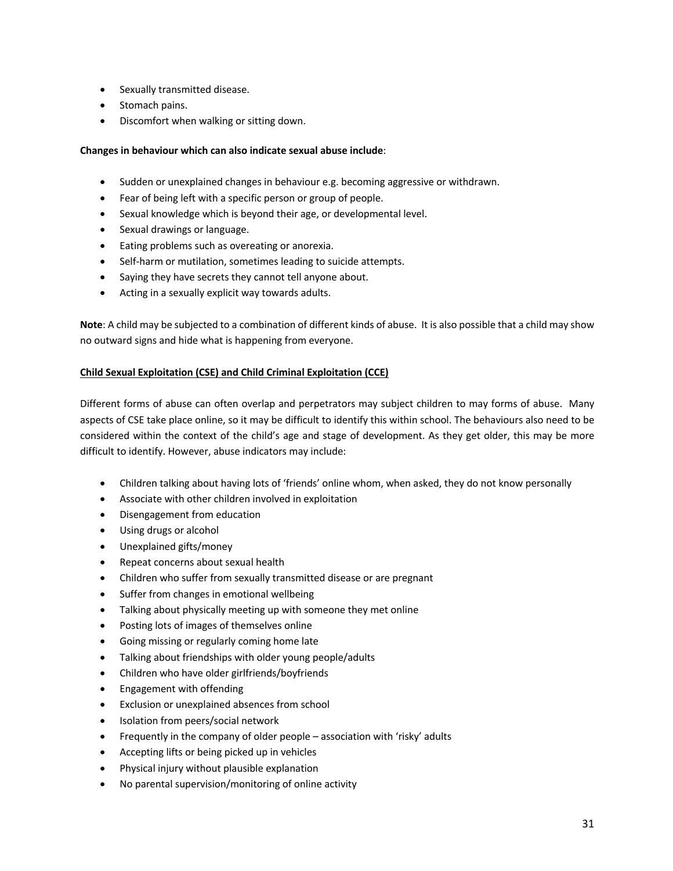- Sexually transmitted disease.
- Stomach pains.
- Discomfort when walking or sitting down.

# **Changes in behaviour which can also indicate sexual abuse include**:

- Sudden or unexplained changes in behaviour e.g. becoming aggressive or withdrawn.
- Fear of being left with a specific person or group of people.
- Sexual knowledge which is beyond their age, or developmental level.
- Sexual drawings or language.
- Eating problems such as overeating or anorexia.
- Self-harm or mutilation, sometimes leading to suicide attempts.
- Saying they have secrets they cannot tell anyone about.
- Acting in a sexually explicit way towards adults.

**Note**: A child may be subjected to a combination of different kinds of abuse. It is also possible that a child may show no outward signs and hide what is happening from everyone.

#### **Child Sexual Exploitation (CSE) and Child Criminal Exploitation (CCE)**

Different forms of abuse can often overlap and perpetrators may subject children to may forms of abuse. Many aspects of CSE take place online, so it may be difficult to identify this within school. The behaviours also need to be considered within the context of the child's age and stage of development. As they get older, this may be more difficult to identify. However, abuse indicators may include:

- Children talking about having lots of 'friends' online whom, when asked, they do not know personally
- Associate with other children involved in exploitation
- Disengagement from education
- Using drugs or alcohol
- Unexplained gifts/money
- Repeat concerns about sexual health
- Children who suffer from sexually transmitted disease or are pregnant
- Suffer from changes in emotional wellbeing
- Talking about physically meeting up with someone they met online
- Posting lots of images of themselves online
- Going missing or regularly coming home late
- Talking about friendships with older young people/adults
- Children who have older girlfriends/boyfriends
- Engagement with offending
- Exclusion or unexplained absences from school
- Isolation from peers/social network
- Frequently in the company of older people association with 'risky' adults
- Accepting lifts or being picked up in vehicles
- Physical injury without plausible explanation
- No parental supervision/monitoring of online activity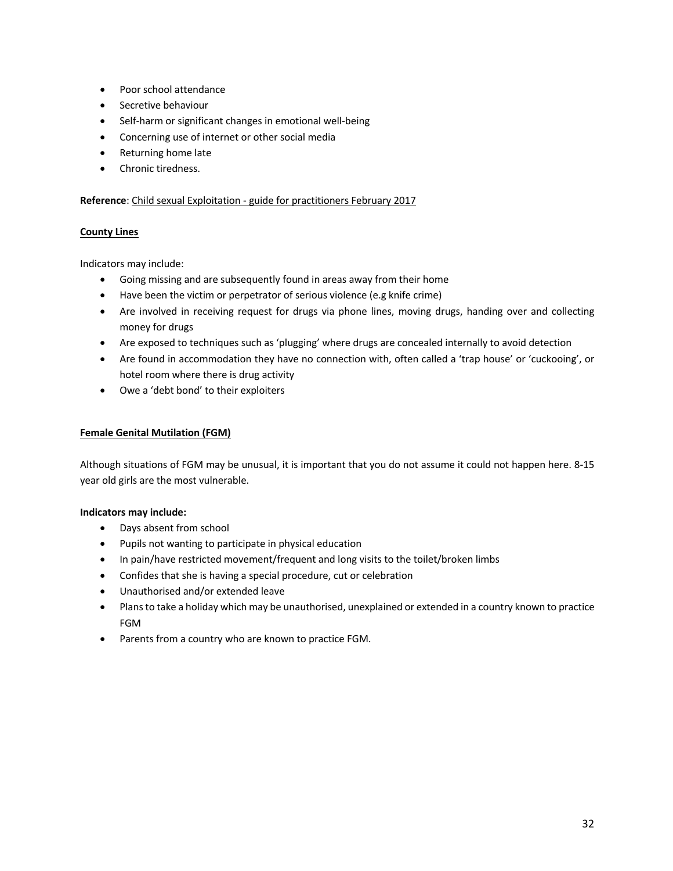- Poor school attendance
- Secretive behaviour
- Self-harm or significant changes in emotional well-being
- Concerning use of internet or other social media
- Returning home late
- Chronic tiredness.

# **Reference**: Child sexual Exploitation - guide for practitioners February 2017

# **County Lines**

Indicators may include:

- Going missing and are subsequently found in areas away from their home
- Have been the victim or perpetrator of serious violence (e.g knife crime)
- Are involved in receiving request for drugs via phone lines, moving drugs, handing over and collecting money for drugs
- Are exposed to techniques such as 'plugging' where drugs are concealed internally to avoid detection
- Are found in accommodation they have no connection with, often called a 'trap house' or 'cuckooing', or hotel room where there is drug activity
- Owe a 'debt bond' to their exploiters

#### **Female Genital Mutilation (FGM)**

Although situations of FGM may be unusual, it is important that you do not assume it could not happen here. 8-15 year old girls are the most vulnerable.

# **Indicators may include:**

- Days absent from school
- Pupils not wanting to participate in physical education
- In pain/have restricted movement/frequent and long visits to the toilet/broken limbs
- Confides that she is having a special procedure, cut or celebration
- Unauthorised and/or extended leave
- Plans to take a holiday which may be unauthorised, unexplained or extended in a country known to practice FGM
- Parents from a country who are known to practice FGM.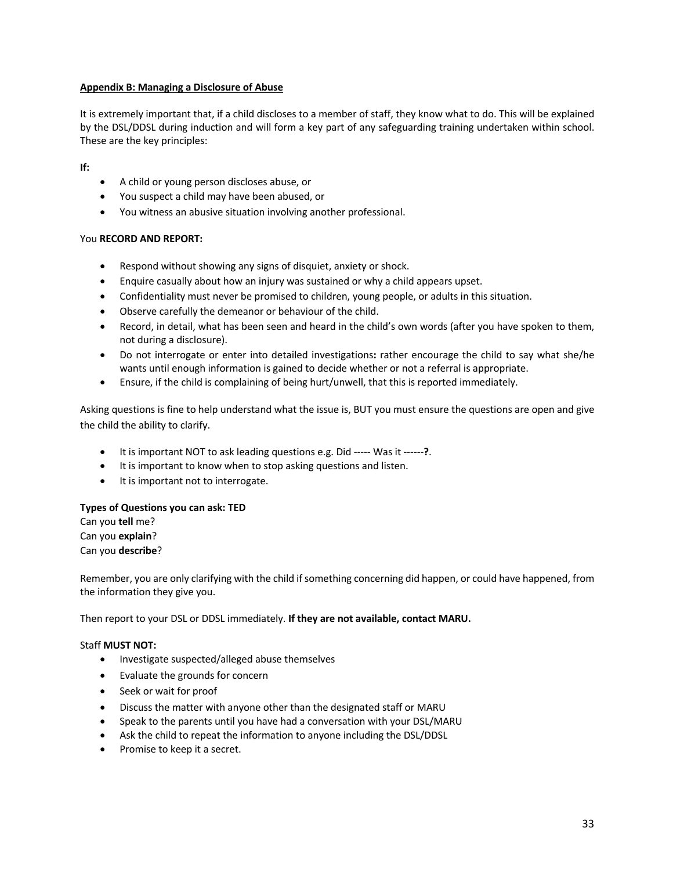# **Appendix B: Managing a Disclosure of Abuse**

It is extremely important that, if a child discloses to a member of staff, they know what to do. This will be explained by the DSL/DDSL during induction and will form a key part of any safeguarding training undertaken within school. These are the key principles:

#### **If:**

- A child or young person discloses abuse, or
- You suspect a child may have been abused, or
- You witness an abusive situation involving another professional.

# You **RECORD AND REPORT:**

- Respond without showing any signs of disquiet, anxiety or shock.
- Enquire casually about how an injury was sustained or why a child appears upset.
- Confidentiality must never be promised to children, young people, or adults in this situation.
- Observe carefully the demeanor or behaviour of the child.
- Record, in detail, what has been seen and heard in the child's own words (after you have spoken to them, not during a disclosure).
- Do not interrogate or enter into detailed investigations**:** rather encourage the child to say what she/he wants until enough information is gained to decide whether or not a referral is appropriate.
- Ensure, if the child is complaining of being hurt/unwell, that this is reported immediately.

Asking questions is fine to help understand what the issue is, BUT you must ensure the questions are open and give the child the ability to clarify.

- It is important NOT to ask leading questions e.g. Did ----- Was it ------**?**.
- It is important to know when to stop asking questions and listen.
- It is important not to interrogate.

#### **Types of Questions you can ask: TED**

Can you **tell** me? Can you **explain**? Can you **describe**?

Remember, you are only clarifying with the child if something concerning did happen, or could have happened, from the information they give you.

Then report to your DSL or DDSL immediately. **If they are not available, contact MARU.** 

#### Staff **MUST NOT:**

- Investigate suspected/alleged abuse themselves
- Evaluate the grounds for concern
- Seek or wait for proof
- Discuss the matter with anyone other than the designated staff or MARU
- Speak to the parents until you have had a conversation with your DSL/MARU
- Ask the child to repeat the information to anyone including the DSL/DDSL
- Promise to keep it a secret.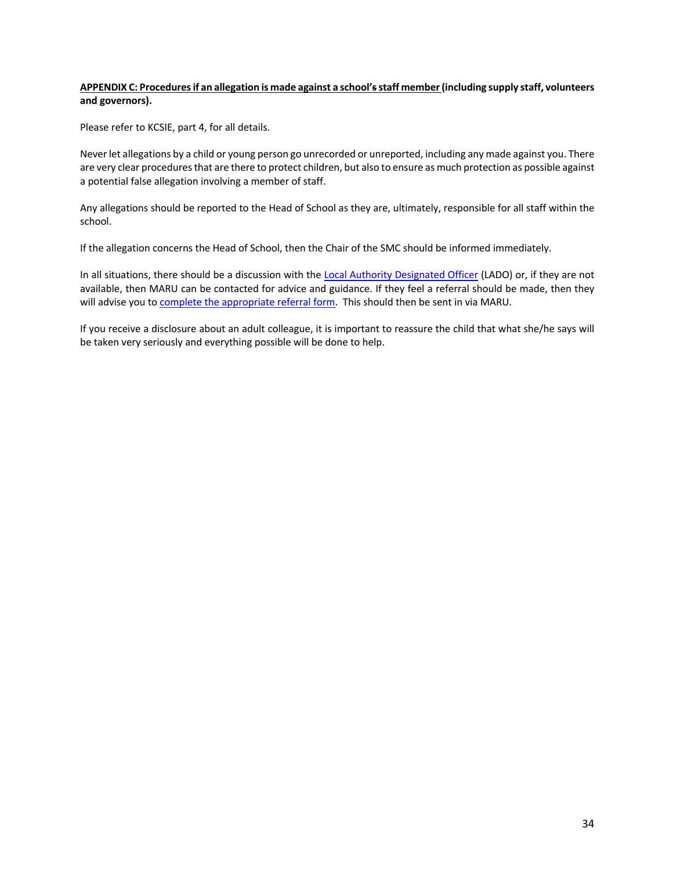#### **APPENDIX C: Procedures if an allegation is made against a school'sstaff member(including supply staff, volunteers and governors).**

Please refer to KCSIE, part 4, for all details.

Never let allegations by a child or young person go unrecorded or unreported, including any made against you. There are very clear procedures that are there to protect children, but also to ensure as much protection as possible against a potential false allegation involving a member of staff.

Any allegations should be reported to the Head of School as they are, ultimately, responsible for all staff within the school.

If the allegation concerns the Head of School, then the Chair of the SMC should be informed immediately.

In all situations, there should be a discussion with the Local Authority Designated Officer (LADO) or, if they are not available, then MARU can be contacted for advice and guidance. If they feel a referral should be made, then they will advise you to complete the appropriate referral form. This should then be sent in via MARU.

If you receive a disclosure about an adult colleague, it is important to reassure the child that what she/he says will be taken very seriously and everything possible will be done to help.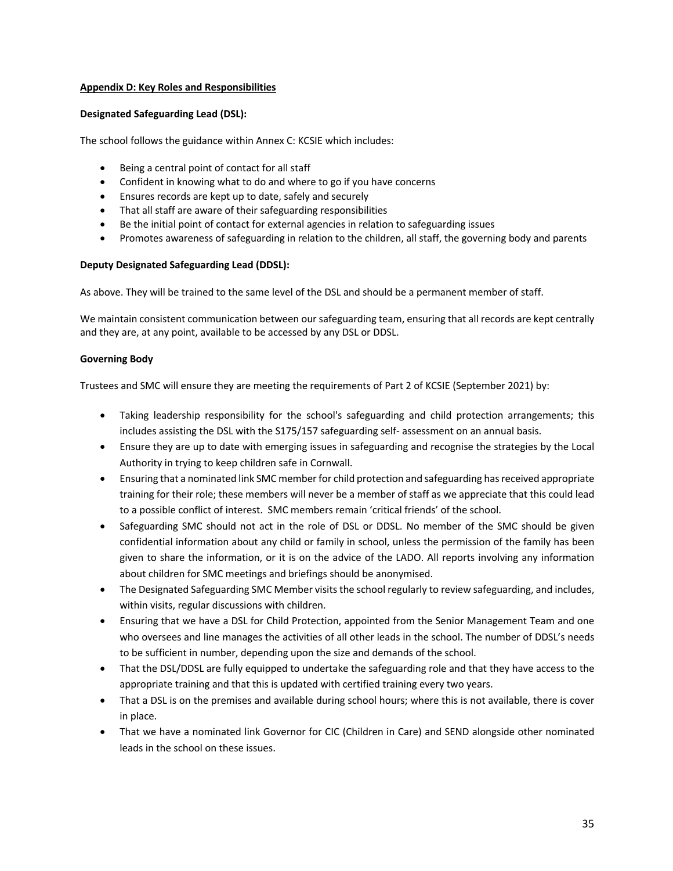# **Appendix D: Key Roles and Responsibilities**

#### **Designated Safeguarding Lead (DSL):**

The school follows the guidance within Annex C: KCSIE which includes:

- Being a central point of contact for all staff
- Confident in knowing what to do and where to go if you have concerns
- Ensures records are kept up to date, safely and securely
- That all staff are aware of their safeguarding responsibilities
- Be the initial point of contact for external agencies in relation to safeguarding issues
- Promotes awareness of safeguarding in relation to the children, all staff, the governing body and parents

# **Deputy Designated Safeguarding Lead (DDSL):**

As above. They will be trained to the same level of the DSL and should be a permanent member of staff.

We maintain consistent communication between our safeguarding team, ensuring that all records are kept centrally and they are, at any point, available to be accessed by any DSL or DDSL.

#### **Governing Body**

Trustees and SMC will ensure they are meeting the requirements of Part 2 of KCSIE (September 2021) by:

- Taking leadership responsibility for the school's safeguarding and child protection arrangements; this includes assisting the DSL with the S175/157 safeguarding self- assessment on an annual basis.
- Ensure they are up to date with emerging issues in safeguarding and recognise the strategies by the Local Authority in trying to keep children safe in Cornwall.
- Ensuring that a nominated link SMC member for child protection and safeguarding has received appropriate training for their role; these members will never be a member of staff as we appreciate that this could lead to a possible conflict of interest. SMC members remain 'critical friends' of the school.
- Safeguarding SMC should not act in the role of DSL or DDSL. No member of the SMC should be given confidential information about any child or family in school, unless the permission of the family has been given to share the information, or it is on the advice of the LADO. All reports involving any information about children for SMC meetings and briefings should be anonymised.
- The Designated Safeguarding SMC Member visits the school regularly to review safeguarding, and includes, within visits, regular discussions with children.
- Ensuring that we have a DSL for Child Protection, appointed from the Senior Management Team and one who oversees and line manages the activities of all other leads in the school. The number of DDSL's needs to be sufficient in number, depending upon the size and demands of the school.
- That the DSL/DDSL are fully equipped to undertake the safeguarding role and that they have access to the appropriate training and that this is updated with certified training every two years.
- That a DSL is on the premises and available during school hours; where this is not available, there is cover in place.
- That we have a nominated link Governor for CIC (Children in Care) and SEND alongside other nominated leads in the school on these issues.